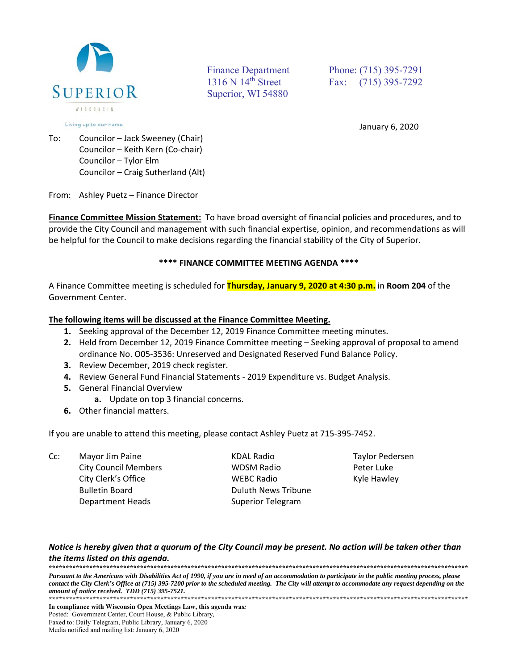

Superior, WI 54880

Finance Department Phone: (715) 395-7291 1316 N 14<sup>th</sup> Street Fax: (715) 395-7292

January 6, 2020

To: Councilor – Jack Sweeney (Chair) Councilor – Keith Kern (Co‐chair) Councilor – Tylor Elm Councilor – Craig Sutherland (Alt)

From: Ashley Puetz – Finance Director

**Finance Committee Mission Statement:** To have broad oversight of financial policies and procedures, and to provide the City Council and management with such financial expertise, opinion, and recommendations as will be helpful for the Council to make decisions regarding the financial stability of the City of Superior.

## **\*\*\*\* FINANCE COMMITTEE MEETING AGENDA \*\*\*\***

A Finance Committee meeting is scheduled for **Thursday, January 9, 2020 at 4:30 p.m.** in **Room 204** of the Government Center.

### **The following items will be discussed at the Finance Committee Meeting.**

- **1.** Seeking approval of the December 12, 2019 Finance Committee meeting minutes.
- **2.** Held from December 12, 2019 Finance Committee meeting Seeking approval of proposal to amend ordinance No. O05‐3536: Unreserved and Designated Reserved Fund Balance Policy.
- **3.** Review December, 2019 check register.
- **4.** Review General Fund Financial Statements ‐ 2019 Expenditure vs. Budget Analysis.
- **5.** General Financial Overview
	- **a.** Update on top 3 financial concerns.
- **6.** Other financial matters.

If you are unable to attend this meeting, please contact Ashley Puetz at 715‐395‐7452.

| Cc: | Mayor Jim Paine             | KDAL Radio               | Taylor Pedersen |
|-----|-----------------------------|--------------------------|-----------------|
|     | <b>City Council Members</b> | <b>WDSM Radio</b>        | Peter Luke      |
|     | City Clerk's Office         | <b>WEBC Radio</b>        | Kyle Hawley     |
|     | <b>Bulletin Board</b>       | Duluth News Tribune      |                 |
|     | Department Heads            | <b>Superior Telegram</b> |                 |

## *Notice is hereby given that a quorum of the City Council may be present. No action will be taken other than the items listed on this agenda.*

**\*\*\*\*\*\*\*\*\*\*\*\*\*\*\*\*\*\*\*\*\*\*\*\*\*\*\*\*\*\*\*\*\*\*\*\*\*\*\*\*\*\*\*\*\*\*\*\*\*\*\*\*\*\*\*\*\*\*\*\*\*\*\*\*\*\*\*\*\*\*\*\*\*\*\*\*\*\*\*\*\*\*\*\*\*\*\*\*\*\*\*\*\*\*\*\*\*\*\*\*\*\*\*\*\*\*\*\*\*\*\*\*\*\*\*\*\*\*\*\*\*\*\*\***  *Pursuant to the Americans with Disabilities Act of 1990, if you are in need of an accommodation to participate in the public meeting process, please contact the City Clerk's Office at (715) 395-7200 prior to the scheduled meeting. The City will attempt to accommodate any request depending on the amount of notice received. TDD (715) 395-7521.* **\*\*\*\*\*\*\*\*\*\*\*\*\*\*\*\*\*\*\*\*\*\*\*\*\*\*\*\*\*\*\*\*\*\*\*\*\*\*\*\*\*\*\*\*\*\*\*\*\*\*\*\*\*\*\*\*\*\*\*\*\*\*\*\*\*\*\*\*\*\*\*\*\*\*\*\*\*\*\*\*\*\*\*\*\*\*\*\*\*\*\*\*\*\*\*\*\*\*\*\*\*\*\*\*\*\*\*\*\*\*\*\*\*\*\*\*\*\*\*\*\*\*\*\***

**In compliance with Wisconsin Open Meetings Law, this agenda was***:* Posted: Government Center, Court House, & Public Library*,* Faxed to: Daily Telegram, Public Library, January 6, 2020 Media notified and mailing list: January 6, 2020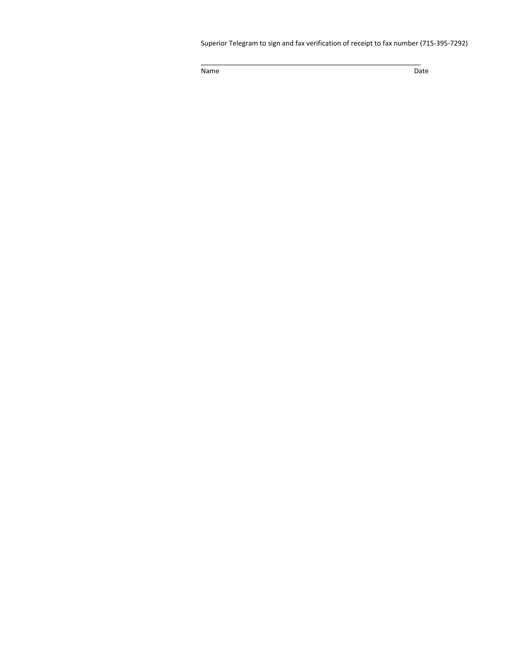Superior Telegram to sign and fax verification of receipt to fax number (715‐395‐7292)

\_\_\_\_\_\_\_\_\_\_\_\_\_\_\_\_\_\_\_\_\_\_\_\_\_\_\_\_\_\_\_\_\_\_\_\_\_\_\_\_\_\_\_\_\_\_\_\_\_\_\_\_\_\_\_\_\_\_

Name **Date Date Date**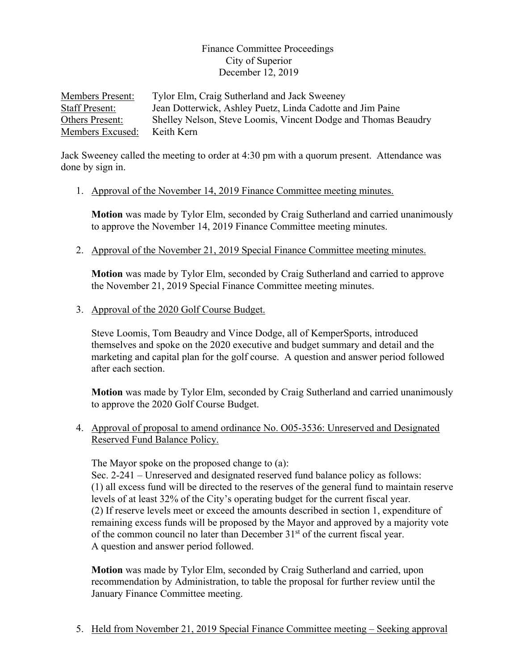# Finance Committee Proceedings City of Superior December 12, 2019

Members Present: Tylor Elm, Craig Sutherland and Jack Sweeney Staff Present: Jean Dotterwick, Ashley Puetz, Linda Cadotte and Jim Paine Others Present: Shelley Nelson, Steve Loomis, Vincent Dodge and Thomas Beaudry Members Excused: Keith Kern

Jack Sweeney called the meeting to order at 4:30 pm with a quorum present. Attendance was done by sign in.

1. Approval of the November 14, 2019 Finance Committee meeting minutes.

**Motion** was made by Tylor Elm, seconded by Craig Sutherland and carried unanimously to approve the November 14, 2019 Finance Committee meeting minutes.

2. Approval of the November 21, 2019 Special Finance Committee meeting minutes.

**Motion** was made by Tylor Elm, seconded by Craig Sutherland and carried to approve the November 21, 2019 Special Finance Committee meeting minutes.

3. Approval of the 2020 Golf Course Budget.

Steve Loomis, Tom Beaudry and Vince Dodge, all of KemperSports, introduced themselves and spoke on the 2020 executive and budget summary and detail and the marketing and capital plan for the golf course. A question and answer period followed after each section.

**Motion** was made by Tylor Elm, seconded by Craig Sutherland and carried unanimously to approve the 2020 Golf Course Budget.

4. Approval of proposal to amend ordinance No. O05-3536: Unreserved and Designated Reserved Fund Balance Policy.

The Mayor spoke on the proposed change to (a):

Sec. 2-241 – Unreserved and designated reserved fund balance policy as follows: (1) all excess fund will be directed to the reserves of the general fund to maintain reserve levels of at least 32% of the City's operating budget for the current fiscal year. (2) If reserve levels meet or exceed the amounts described in section 1, expenditure of remaining excess funds will be proposed by the Mayor and approved by a majority vote of the common council no later than December  $31<sup>st</sup>$  of the current fiscal year. A question and answer period followed.

**Motion** was made by Tylor Elm, seconded by Craig Sutherland and carried, upon recommendation by Administration, to table the proposal for further review until the January Finance Committee meeting.

5. Held from November 21, 2019 Special Finance Committee meeting – Seeking approval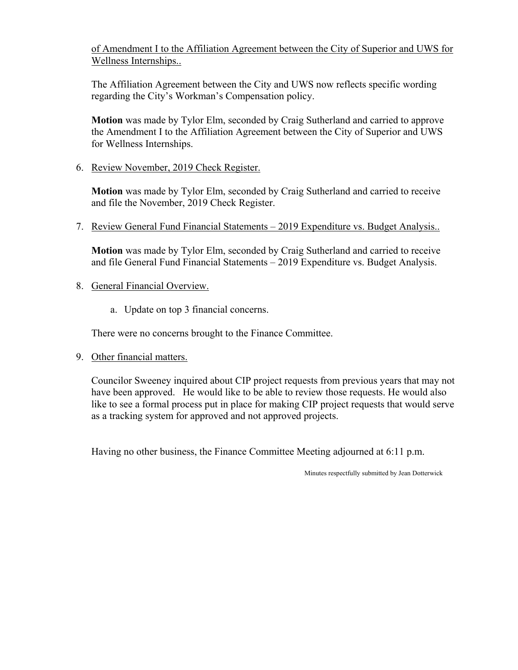of Amendment I to the Affiliation Agreement between the City of Superior and UWS for Wellness Internships..

The Affiliation Agreement between the City and UWS now reflects specific wording regarding the City's Workman's Compensation policy.

**Motion** was made by Tylor Elm, seconded by Craig Sutherland and carried to approve the Amendment I to the Affiliation Agreement between the City of Superior and UWS for Wellness Internships.

6. Review November, 2019 Check Register.

**Motion** was made by Tylor Elm, seconded by Craig Sutherland and carried to receive and file the November, 2019 Check Register.

7. Review General Fund Financial Statements – 2019 Expenditure vs. Budget Analysis..

**Motion** was made by Tylor Elm, seconded by Craig Sutherland and carried to receive and file General Fund Financial Statements – 2019 Expenditure vs. Budget Analysis.

- 8. General Financial Overview.
	- a. Update on top 3 financial concerns.

There were no concerns brought to the Finance Committee.

9. Other financial matters.

 Councilor Sweeney inquired about CIP project requests from previous years that may not have been approved. He would like to be able to review those requests. He would also like to see a formal process put in place for making CIP project requests that would serve as a tracking system for approved and not approved projects.

Having no other business, the Finance Committee Meeting adjourned at 6:11 p.m.

Minutes respectfully submitted by Jean Dotterwick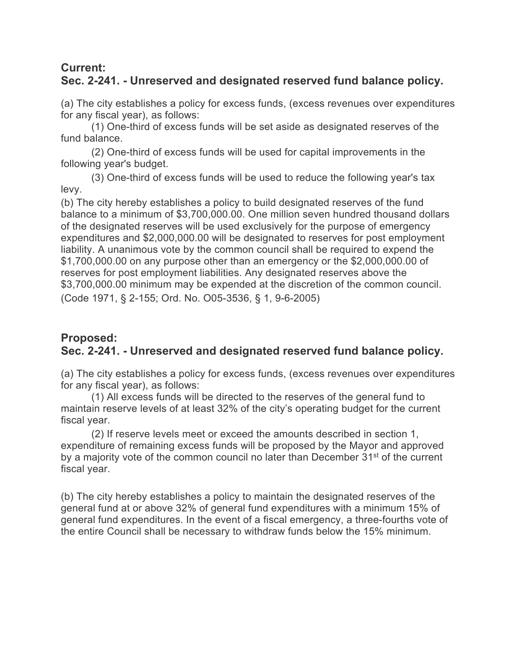# **Current: Sec. 2-241. - Unreserved and designated reserved fund balance policy.**

(a) The city establishes a policy for excess funds, (excess revenues over expenditures for any fiscal year), as follows:

(1) One-third of excess funds will be set aside as designated reserves of the fund balance.

(2) One-third of excess funds will be used for capital improvements in the following year's budget.

(3) One-third of excess funds will be used to reduce the following year's tax levy.

(b) The city hereby establishes a policy to build designated reserves of the fund balance to a minimum of \$3,700,000.00. One million seven hundred thousand dollars of the designated reserves will be used exclusively for the purpose of emergency expenditures and \$2,000,000.00 will be designated to reserves for post employment liability. A unanimous vote by the common council shall be required to expend the \$1,700,000.00 on any purpose other than an emergency or the \$2,000,000.00 of reserves for post employment liabilities. Any designated reserves above the \$3,700,000.00 minimum may be expended at the discretion of the common council. (Code 1971, § 2-155; Ord. No. O05-3536, § 1, 9-6-2005)

# **Proposed: Sec. 2-241. - Unreserved and designated reserved fund balance policy.**

(a) The city establishes a policy for excess funds, (excess revenues over expenditures for any fiscal year), as follows:

(1) All excess funds will be directed to the reserves of the general fund to maintain reserve levels of at least 32% of the city's operating budget for the current fiscal year.

(2) If reserve levels meet or exceed the amounts described in section 1, expenditure of remaining excess funds will be proposed by the Mayor and approved by a majority vote of the common council no later than December 31<sup>st</sup> of the current fiscal year.

(b) The city hereby establishes a policy to maintain the designated reserves of the general fund at or above 32% of general fund expenditures with a minimum 15% of general fund expenditures. In the event of a fiscal emergency, a three-fourths vote of the entire Council shall be necessary to withdraw funds below the 15% minimum.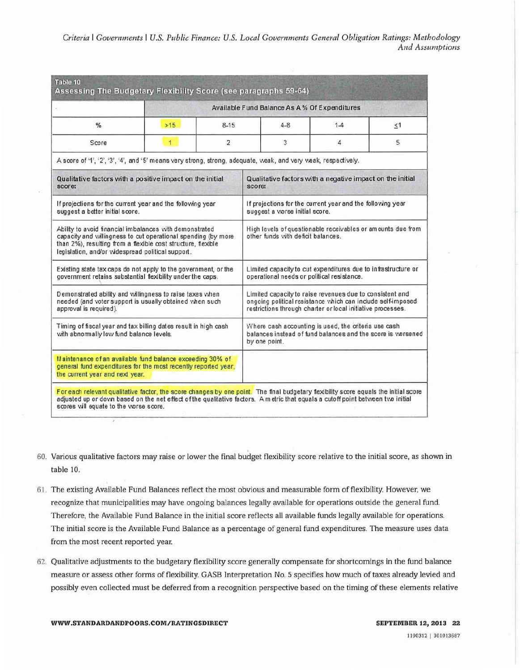*Criteria* I *Governments* I *U.S. Public Finance: U.S. Local Governments General Obligation Ratings: Methodology And Assumptions* 

| Available Fund Balance As A % Of Expenditures                                                                                                                                                                                                 |                |                |                                    |                                                                                                                                                                                        |          |  |  |  |
|-----------------------------------------------------------------------------------------------------------------------------------------------------------------------------------------------------------------------------------------------|----------------|----------------|------------------------------------|----------------------------------------------------------------------------------------------------------------------------------------------------------------------------------------|----------|--|--|--|
| %                                                                                                                                                                                                                                             | >15            | $8-15$         | $4 - 8$                            | $1-4$                                                                                                                                                                                  | $\leq 1$ |  |  |  |
| Score                                                                                                                                                                                                                                         | $\overline{1}$ | $\overline{c}$ | 3                                  | 4                                                                                                                                                                                      | 5        |  |  |  |
| A score of '1', '2', '3', '4', and '5' means very strong, strong, adequate, weak, and very weak, respectively.                                                                                                                                |                |                |                                    |                                                                                                                                                                                        |          |  |  |  |
| Qualitative factors with a positive impact on the initial<br>score:                                                                                                                                                                           |                |                | score:                             | Qualitative factors with a negative impact on the initial                                                                                                                              |          |  |  |  |
| If projections for the current year and the following year<br>suggest a better initial score.                                                                                                                                                 |                |                | suggest a vorse initial score.     | If projections for the current year and the following year                                                                                                                             |          |  |  |  |
| Ability to avoid financial imbalances with demonstrated<br>capacity and willingness to cut operational spending (by more<br>than 2%), resulting from a flexible cost structure, flexible<br>legislation, and/or videspread political support. |                |                | other funds with deficit balances. | High levels of questionable receivables or amounts due from                                                                                                                            |          |  |  |  |
| Existing state tax caps do not apply to the government, or the<br>government retains substantial flexibility under the caps.                                                                                                                  |                |                |                                    | Limited capacity to cut expenditures due to infrastructure or<br>operational needs or political resistance.                                                                            |          |  |  |  |
| Demonstrated ability and willingness to raise taxes when<br>needed (and voter support is usually obtained when such<br>approval is required).                                                                                                 |                |                |                                    | Limited capacity to raise revenues due to consistent and<br>ongoing political resistance which can include self-imposed<br>restrictions through charter or local initiative processes. |          |  |  |  |
| Timing of fiscal year and tax billing dates result in high cash<br>with abnomally low fund balance levels.                                                                                                                                    |                |                | by one point.                      | Where cash accounting is used, the criteria use cash<br>balances instead of fund balances and the score is vorsened                                                                    |          |  |  |  |
| Maintenance of an available fund balance exceeding 30% of<br>general fund expenditures for the most recently reported year,<br>the current year and next year.                                                                                |                |                |                                    |                                                                                                                                                                                        |          |  |  |  |

- 60. Various qualitative factors may raise or lower the final budget flexibility score relative to the initial score, as shown in table 10.
- 61. The existing Available Fund Balances reflect the most obvious and measurable form of flexibility. However, we recognize that municipalities may have ongoing balances legally available for operations outside the general fund. Therefore, the Available Fund Balance in the initial score reflects all available funds legally available for operations. The initial score is the Available Fund Balance as a percentage of general fund expenditures. The measure uses data from the most recent reported year.
- 62. Qualitative adjustments to the budgetary flexibility score generally compensate for shortcomings in the fund balance measure or assess other forms of flexibility. GASB Interpretation No. 5 specifies how much of taxes already levied and possibly even collected must be deferred from a recognition perspective based on the timing of these elements relative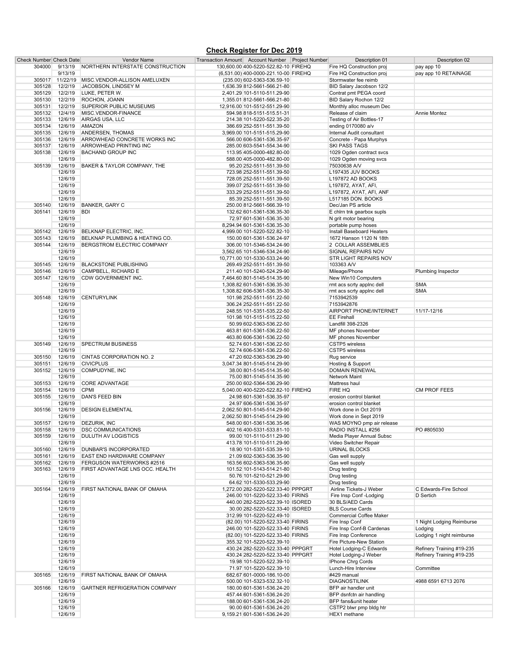#### **Check Register for Dec 2019**

| <b>Check Number Check Date</b> |         | Vendor Name                           | Transaction Amount Account Number Project Number | Description 01                 | Description 02            |
|--------------------------------|---------|---------------------------------------|--------------------------------------------------|--------------------------------|---------------------------|
| 304000                         | 9/13/19 | NORTHERN INTERSTATE CONSTRUCTION      | 130,600.00 400-5220-522.82-10 FIREHQ             | Fire HQ Construction proj      | pay app 10                |
|                                | 9/13/19 |                                       | (6,531.00) 400-0000-221.10-00 FIREHQ             | Fire HQ Construction proj      | pay app 10 RETAINAGE      |
|                                |         |                                       |                                                  |                                |                           |
| 305017                         |         | 11/22/19 MISC.VENDOR-ALLISON AMELUXEN | (235.00) 602-5363-536.59-10                      | Stormwater fee reimb           |                           |
| 305128                         | 12/2/19 | JACOBSON, LINDSEY M                   | 1,636.39 812-5661-566.21-80                      | BID Salary Jacobson 12/2       |                           |
| 305129                         | 12/2/19 | LUKE, PETER W.                        | 2,401.29 101-5110-511.29-90                      | Contrat pmt PEGA coord         |                           |
| 305130                         | 12/2/19 | ROCHON, JOANN                         | 1,355.01 812-5661-566.21-80                      | BID Salary Rochon 12/2         |                           |
| 305131                         | 12/2/19 | <b>SUPERIOR PUBLIC MUSEUMS</b>        | 12,916.00 101-5512-551.29-90                     | Monthly alloc museum Dec       |                           |
|                                |         |                                       |                                                  |                                |                           |
| 305132                         | 12/4/19 | MISC.VENDOR-FINANCE                   | 594.98 818-5151-515.51-31                        | Release of claim               | Annie Montez              |
| 305133                         | 12/6/19 | AIRGAS USA, LLC                       | 214.38 101-5220-522.35-20                        | Testing of Air Bottles-17      |                           |
| 305134                         | 12/6/19 | <b>AMAZON</b>                         | 386.69 252-5511-551.39-50                        | ending 0170080 a/v             |                           |
| 305135                         | 12/6/19 | ANDERSEN, THOMAS                      | 3,969.00 101-5151-515.29-90                      | Internal Audit consultant      |                           |
| 305136                         | 12/6/19 | ARROWHEAD CONCRETE WORKS INC          |                                                  | Concrete - Papa Murphys        |                           |
|                                |         |                                       | 566.00 606-5361-536.35-97                        |                                |                           |
| 305137                         | 12/6/19 | ARROWHEAD PRINTING INC                | 285.00 603-5541-554.34-90                        | <b>SKI PASS TAGS</b>           |                           |
| 305138                         | 12/6/19 | <b>BACHAND GROUP INC</b>              | 113.95 405-0000-482.80-00                        | 1029 Ogden contract svcs       |                           |
|                                | 12/6/19 |                                       | 588.00 405-0000-482.80-00                        | 1029 Ogden moving svcs         |                           |
| 305139                         | 12/6/19 | BAKER & TAYLOR COMPANY, THE           | 95.20 252-5511-551.39-50                         | 75030638 A/V                   |                           |
|                                |         |                                       |                                                  |                                |                           |
|                                | 12/6/19 |                                       | 723.98 252-5511-551.39-50                        | L197435 JUV BOOKS              |                           |
|                                | 12/6/19 |                                       | 728.05 252-5511-551.39-50                        | L197872 AD BOOKS               |                           |
|                                | 12/6/19 |                                       | 399.07 252-5511-551.39-50                        | L197872, AYAT, AFI,            |                           |
|                                | 12/6/19 |                                       | 333.29 252-5511-551.39-50                        | L197872, AYAT, AFI, ANF        |                           |
|                                |         |                                       |                                                  |                                |                           |
|                                | 12/6/19 |                                       | 85.39 252-5511-551.39-50                         | L517185 DON. BOOKS             |                           |
| 305140                         | 12/6/19 | <b>BANKER, GARY C</b>                 | 250.00 812-5661-566.39-10                        | Dec/Jan PS article             |                           |
| 305141                         | 12/6/19 | <b>BDI</b>                            | 132.62 601-5361-536.35-30                        | E chirn tnk gearbox supis      |                           |
|                                | 12/6/19 |                                       | 72.97 601-5361-536.35-30                         | N grit motor bearing           |                           |
|                                |         |                                       |                                                  |                                |                           |
|                                | 12/6/19 |                                       | 8,294.94 601-5361-536.35-30                      | portable pump hoses            |                           |
| 305142                         | 12/6/19 | BELKNAP ELECTRIC, INC.                | 4,999.00 101-5220-522.82-10                      | Install Baseboard Heaters      |                           |
| 305143                         | 12/6/19 | BELKNAP PLUMBING & HEATING CO.        | 150.00 601-5361-536.24-97                        | 1672 Hanson 1120 N 18th        |                           |
| 305144                         | 12/6/19 | BERGSTROM ELECTRIC COMPANY            | 306.00 101-5346-534.24-90                        | 2 COLLAR ASSEMBLIES            |                           |
|                                |         |                                       |                                                  |                                |                           |
|                                | 12/6/19 |                                       | 3,562.65 101-5346-534.24-90                      | SIGNAL REPAIRS NOV             |                           |
|                                | 12/6/19 |                                       | 10,771.00 101-5330-533.24-90                     | <b>STR LIGHT REPAIRS NOV</b>   |                           |
| 305145                         | 12/6/19 | <b>BLACKSTONE PUBLISHING</b>          | 269.49 252-5511-551.39-50                        | 103363 A/V                     |                           |
| 305146                         | 12/6/19 | CAMPBELL, RICHARD E                   | 211.40 101-5240-524.29-90                        | Mileage/Phone                  | Plumbing Inspector        |
| 305147                         | 12/6/19 | CDW GOVERNMENT INC.                   | 7,464.60 801-5145-514.35-90                      | New Win10 Computers            |                           |
|                                |         |                                       |                                                  |                                |                           |
|                                | 12/6/19 |                                       | 1,308.82 601-5361-536.35-30                      | rmt acs scrty applnc dell      | <b>SMA</b>                |
|                                | 12/6/19 |                                       | 1,308.82 606-5361-536.35-30                      | rmt acs scrty applnc dell      | <b>SMA</b>                |
| 305148                         | 12/6/19 | <b>CENTURYLINK</b>                    | 101.98 252-5511-551.22-50                        | 7153942539                     |                           |
|                                | 12/6/19 |                                       | 306.24 252-5511-551.22-50                        | 7153942876                     |                           |
|                                |         |                                       |                                                  |                                |                           |
|                                | 12/6/19 |                                       | 248.55 101-5351-535.22-50                        | <b>AIRPORT PHONE/INTERNET</b>  | 11/17-12/16               |
|                                | 12/6/19 |                                       | 101.98 101-5151-515.22-50                        | <b>EE Firehall</b>             |                           |
|                                | 12/6/19 |                                       | 50.99 602-5363-536.22-50                         | Landfill 398-2326              |                           |
|                                | 12/6/19 |                                       | 463.81 601-5361-536.22-50                        | MF phones November             |                           |
|                                |         |                                       |                                                  |                                |                           |
|                                | 12/6/19 |                                       | 463.80 606-5361-536.22-50                        | MF phones November             |                           |
| 305149                         | 12/6/19 | <b>SPECTRUM BUSINESS</b>              | 52.74 601-5361-536.22-50                         | CSTP5 wireless                 |                           |
|                                | 12/6/19 |                                       | 52.74 606-5361-536.22-50                         | CSTP5 wireless                 |                           |
| 305150                         | 12/6/19 | CINTAS CORPORATION NO. 2              | 47.20 602-5363-536.29-90                         | Rug service                    |                           |
|                                |         |                                       |                                                  |                                |                           |
| 305151                         | 12/6/19 | <b>CIVICPLUS</b>                      | 3,047.34 801-5145-514.29-90                      | Hosting & Support              |                           |
| 305152                         | 12/6/19 | COMPUDYNE, INC                        | 38.00 801-5145-514.35-90                         | <b>DOMAIN RENEWAL</b>          |                           |
|                                | 12/6/19 |                                       | 75.00 801-5145-514.35-90                         | Network Maint                  |                           |
| 305153                         | 12/6/19 | <b>CORE ADVANTAGE</b>                 | 250.00 602-5364-536.29-90                        | Mattress haul                  |                           |
|                                | 12/6/19 | <b>CPMI</b>                           |                                                  | FIRE HQ                        | <b>CM PROF FEES</b>       |
| 305154                         |         |                                       | 5,040.00 400-5220-522.82-10 FIREHQ               |                                |                           |
| 305155                         | 12/6/19 | DAN'S FEED BIN                        | 24.98 601-5361-536.35-97                         | erosion control blanket        |                           |
|                                | 12/6/19 |                                       | 24.97 606-5361-536.35-97                         | erosion control blanket        |                           |
| 305156                         | 12/6/19 | <b>DESIGN ELEMENTAL</b>               | 2,062.50 801-5145-514.29-90                      | Work done in Oct 2019          |                           |
|                                | 12/6/19 |                                       | 2,062.50 801-5145-514.29-90                      | Work done in Sept 2019         |                           |
|                                |         |                                       |                                                  |                                |                           |
| 305157                         | 12/6/19 | DEZURIK, INC                          | 548.00 601-5361-536.35-96                        | WAS MOYNO pmp air release      |                           |
| 305158                         | 12/6/19 | <b>DSC COMMUNICATIONS</b>             | 402.16 400-5331-533.81-10                        | RADIO INSTALL #256             | PO #805030                |
| 305159                         | 12/6/19 | DULUTH AV LOGISTICS                   | 99.00 101-5110-511.29-90                         | Media Player Annual Subsc      |                           |
|                                | 12/6/19 |                                       | 413.78 101-5110-511.29-90                        | Video Switcher Repair          |                           |
|                                |         |                                       |                                                  |                                |                           |
| 305160                         | 12/6/19 | <b>DUNBAR'S INCORPORATED</b>          | 18.90 101-5351-535.39-10                         | <b>URINAL BLOCKS</b>           |                           |
| 305161                         | 12/6/19 | EAST END HARDWARE COMPANY             | 21.09 602-5363-536.35-90                         | Gas well supply                |                           |
| 305162                         | 12/6/19 | FERGUSON WATERWORKS #2516             | 163.56 602-5363-536.35-90                        | Gas well supply                |                           |
| 305163                         | 12/6/19 | FIRST ADVANTAGE LNS OCC. HEALTH       | 101.52 101-5143-514.21-80                        | Drug testing                   |                           |
|                                | 12/6/19 |                                       | 50.76 101-5210-521.29-90                         | Drug testing                   |                           |
|                                | 12/6/19 |                                       |                                                  |                                |                           |
|                                |         |                                       | 64.62 101-5330-533.29-90                         | Drug testing                   |                           |
| 305164                         | 12/6/19 | FIRST NATIONAL BANK OF OMAHA          | 1,272.00 282-5220-522.33-40 PPPGRT               | Airline Tickets-J Weber        | C Edwards-Fire School     |
|                                | 12/6/19 |                                       | 246.00 101-5220-522.33-40 FIRINS                 | Fire Insp Conf-Lodging         | D Sertich                 |
|                                | 12/6/19 |                                       | 440.00 282-5220-522.39-10 ISORED                 | 30 BLS/AED Cards               |                           |
|                                | 12/6/19 |                                       | 30.00 282-5220-522.33-40 ISORED                  | <b>BLS Course Cards</b>        |                           |
|                                |         |                                       |                                                  | <b>Commercial Coffee Maker</b> |                           |
|                                | 12/6/19 |                                       | 312.99 101-5220-522.49-10                        |                                |                           |
|                                | 12/6/19 |                                       | (82.00) 101-5220-522.33-40 FIRINS                | Fire Insp Conf                 | 1 Night Lodging Reimburse |
|                                | 12/6/19 |                                       | 246.00 101-5220-522.33-40 FIRINS                 | Fire Insp Conf-B Cardenas      | Lodging                   |
|                                | 12/6/19 |                                       | (82.00) 101-5220-522.33-40 FIRINS                | Fire Insp Conference           | Lodging 1 night reimburse |
|                                | 12/6/19 |                                       | 355.32 101-5220-522.39-10                        | Fire Picture-New Station       |                           |
|                                |         |                                       |                                                  |                                |                           |
|                                | 12/6/19 |                                       | 430.24 282-5220-522.33-40 PPPGRT                 | Hotel Lodging-C Edwards        | Refinery Training #19-235 |
|                                | 12/6/19 |                                       | 430.24 282-5220-522.33-40 PPPGRT                 | Hotel Lodging-J Weber          | Refinery Training #19-235 |
|                                | 12/6/19 |                                       | 19.98 101-5220-522.39-10                         | IPhone Chrg Cords              |                           |
|                                | 12/6/19 |                                       | 71.97 101-5220-522.39-10                         | Lunch-Hire Interview           | Committee                 |
|                                |         |                                       |                                                  |                                |                           |
| 305165                         | 12/6/19 | FIRST NATIONAL BANK OF OMAHA          | 682.67 601-0000-186.10-00                        | #429 manual                    |                           |
|                                | 12/6/19 |                                       | 500.00 101-5323-532.32-10                        | <b>DIAGNOSTILINK</b>           | 4988 6591 6713 2076       |
| 305166                         | 12/6/19 | <b>GARTNER REFRIGERATION COMPANY</b>  | 180.00 601-5361-536.24-20                        | BFP air handler unit           |                           |
|                                | 12/6/19 |                                       |                                                  | BFP dsnfctn air handling       |                           |
|                                |         |                                       | 457.44 601-5361-536.24-20                        |                                |                           |
|                                | 12/6/19 |                                       | 188.00 601-5361-536.24-20                        | BFP fans&unit heater           |                           |
|                                | 12/6/19 |                                       | 90.00 601-5361-536.24-20                         | CSTP2 blwr pmp bldg htr        |                           |
|                                | 12/6/19 |                                       | 9,159.21 601-5361-536.24-20                      | HEX1 methane                   |                           |
|                                |         |                                       |                                                  |                                |                           |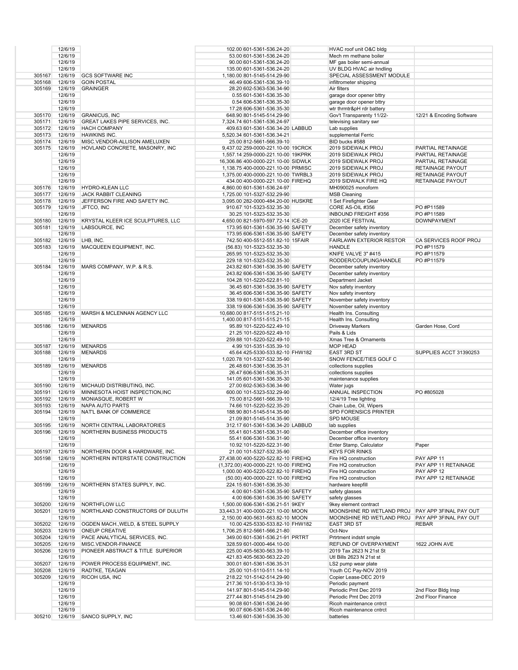|        | 12/6/19 |                                           | 102.00 601-5361-536.24-20                            | HVAC roof unit O&C bldg                          |                           |
|--------|---------|-------------------------------------------|------------------------------------------------------|--------------------------------------------------|---------------------------|
|        | 12/6/19 |                                           | 53.00 601-5361-536.24-20                             | Mech rm methane boiler                           |                           |
|        | 12/6/19 |                                           | 90.00 601-5361-536.24-20                             | MF gas boiler semi-annual                        |                           |
|        | 12/6/19 |                                           | 135.00 601-5361-536.24-20                            | UV BLDG HVAC air hndling                         |                           |
| 305167 | 12/6/19 | <b>GCS SOFTWARE INC</b>                   | 1,180.00 801-5145-514.29-90                          | SPECIAL ASSESSMENT MODULE                        |                           |
| 305168 | 12/6/19 | <b>GOIN POSTAL</b>                        | 46.49 606-5361-536.39-10                             | infiltrometer shipping                           |                           |
| 305169 | 12/6/19 | <b>GRAINGER</b>                           | 28.20 602-5363-536.34-90                             | Air filters                                      |                           |
|        | 12/6/19 |                                           | 0.55 601-5361-536.35-30                              |                                                  |                           |
|        |         |                                           |                                                      | garage door opener bttry                         |                           |
|        | 12/6/19 |                                           | 0.54 606-5361-536.35-30                              | garage door opener bttry                         |                           |
|        | 12/6/19 |                                           | 17.28 606-5361-536.35-30                             | wtr thrmtr&pH rdr battery                        |                           |
| 305170 | 12/6/19 | <b>GRANICUS, INC</b>                      | 648.90 801-5145-514.29-90                            | Gov't Transparenty 11/22-                        | 12/21 & Encoding Software |
| 305171 | 12/6/19 | GREAT LAKES PIPE SERVICES, INC.           | 7,324.74 601-5361-536.24-97                          | televising sanitary swr                          |                           |
| 305172 | 12/6/19 | <b>HACH COMPANY</b>                       | 409.63 601-5361-536.34-20 LABBUD                     | Lab supplies                                     |                           |
| 305173 | 12/6/19 | <b>HAWKINS INC.</b>                       | 5,520.34 601-5361-536.34-21                          | supplemental Ferric                              |                           |
| 305174 | 12/6/19 | MISC.VENDOR-ALLISON AMELUXEN              | 25.00 812-5661-566.39-10                             | BID bucks #588                                   |                           |
| 305175 | 12/6/19 | HOVLAND CONCRETE, MASONRY, INC            | 9,437.02 259-0000-221.10-00 19CRCK                   | 2019 SIDEWALK PROJ                               | PARTIAL RETAINAGE         |
|        | 12/6/19 |                                           | 1,557.14 259-0000-221.10-00 19KPRK                   | 2019 SIDEWALK PROJ                               | PARTIAL RETAINAGE         |
|        | 12/6/19 |                                           | 16,306.86 400-0000-221.10-00 SIDWLK                  | 2019 SIDEWALK PROJ                               | PARTIAL RETAINAGE         |
|        | 12/6/19 |                                           | 1,138.75 400-0000-221.10-00 PRMISC                   | 2019 SIDEWALK PROJ                               | <b>RETAINAGE PAYOUT</b>   |
|        | 12/6/19 |                                           | 1,375.00 400-0000-221.10-00 TWRBL3                   | 2019 SIDEWALK PROJ                               | <b>RETAINAGE PAYOUT</b>   |
|        | 12/6/19 |                                           | 434.00 400-0000-221.10-00 FIREHQ                     | 2019 SIDWALK FIRE HQ                             | RETAINAGE PAYOUT          |
| 305176 | 12/6/19 | HYDRO-KLEAN LLC                           | 4,860.00 601-5361-536.24-97                          | MH090025 monoform                                |                           |
| 305177 | 12/6/19 | <b>JACK RABBIT CLEANING</b>               | 1,725.00 101-5327-532.29-90                          | <b>MSB Cleaning</b>                              |                           |
| 305178 | 12/6/19 |                                           |                                                      |                                                  |                           |
|        |         | JEFFERSON FIRE AND SAFETY INC.            | 3,095.00 282-0000-484.20-00 HUSKRE                   | 1 Set Firefighter Gear                           |                           |
| 305179 | 12/6/19 | JFTCO, INC                                | 910.67 101-5323-532.35-30                            | CORE AS-OIL #356                                 | PO #P11589                |
|        | 12/6/19 |                                           | 30.25 101-5323-532.35-30                             | <b>INBOUND FREIGHT #356</b>                      | PO #P11589                |
| 305180 | 12/6/19 | KRYSTAL KLEER ICE SCULPTURES, LLC         | 4,650.00 821-5970-597.72-14 ICE-20                   | 2020 ICE FESTIVAL                                | <b>DOWNPAYMENT</b>        |
| 305181 | 12/6/19 | LABSOURCE, INC                            | 173.95 601-5361-536.35-90 SAFETY                     | December safety inventory                        |                           |
|        | 12/6/19 |                                           | 173.95 606-5361-536.35-90 SAFETY                     | December safety inventory                        |                           |
| 305182 | 12/6/19 | LHB, INC.                                 | 742.50 400-5512-551.82-10 15FAIR                     | <b>FAIRLAWN EXTERIOR RESTOR</b>                  | CA SERVICES ROOF PROJ     |
| 305183 | 12/6/19 | MACQUEEN EQUIPMENT, INC.                  | (56.83) 101-5323-532.35-30                           | <b>HANDLE</b>                                    | PO #P11579                |
|        | 12/6/19 |                                           | 265.95 101-5323-532.35-30                            | KNIFE VALVE 3" #415                              | PO #P11579                |
|        | 12/6/19 |                                           | 229.18 101-5323-532.35-30                            | RODDER/COUPLING/HANDLE                           | PO #P11579                |
| 305184 | 12/6/19 | MARS COMPANY, W.P. & R.S.                 | 243.82 601-5361-536.35-90 SAFETY                     | December safety inventory                        |                           |
|        | 12/6/19 |                                           | 243.82 606-5361-536.35-90 SAFETY                     | December safety inventory                        |                           |
|        | 12/6/19 |                                           | 104.28 101-5220-522.81-10                            | Department Jacket                                |                           |
|        | 12/6/19 |                                           | 36.45 601-5361-536.35-90 SAFETY                      | Nov safety inventory                             |                           |
|        | 12/6/19 |                                           |                                                      | Nov safety inventory                             |                           |
|        |         |                                           | 36.45 606-5361-536.35-90 SAFETY                      |                                                  |                           |
|        | 12/6/19 |                                           | 338.19 601-5361-536.35-90 SAFETY                     | November safety inventory                        |                           |
|        | 12/6/19 |                                           | 338.19 606-5361-536.35-90 SAFETY                     | November safety inventory                        |                           |
| 305185 | 12/6/19 | MARSH & MCLENNAN AGENCY LLC               | 10,680.00 817-5151-515.21-10                         | Health Ins. Consulting                           |                           |
|        | 12/6/19 |                                           | 1,400.00 817-5151-515.21-15                          | Health Ins. Consulting                           |                           |
| 305186 | 12/6/19 | <b>MENARDS</b>                            | 95.89 101-5220-522.49-10                             | Driveway Markers                                 | Garden Hose, Cord         |
|        | 12/6/19 |                                           | 21.25 101-5220-522.49-10                             | Pails & Lids                                     |                           |
|        | 12/6/19 |                                           | 259.88 101-5220-522.49-10                            | Xmas Tree & Ornaments                            |                           |
| 305187 | 12/6/19 | <b>MENARDS</b>                            | 4.99 101-5351-535.39-10                              | <b>MOP HEAD</b>                                  |                           |
| 305188 | 12/6/19 | <b>MENARDS</b>                            | 45.64 425-5330-533.82-10 FHW182                      | EAST 3RD ST                                      | SUPPLIES ACCT 31390253    |
|        | 12/6/19 |                                           | 1,020.78 101-5327-532.35-90                          | SNOW FENCE/TIES GOLF C                           |                           |
| 305189 | 12/6/19 | <b>MENARDS</b>                            | 26.48 601-5361-536.35-31                             | collections supplies                             |                           |
|        | 12/6/19 |                                           | 26.47 606-5361-536.35-31                             | collections supplies                             |                           |
|        | 12/6/19 |                                           | 141.05 601-5361-536.35-30                            | maintenance supplies                             |                           |
| 305190 |         | 12/6/19 MICHAUD DISTRIBUTING, INC.        | 27.00 602-5363-536.34-90                             | Water jugs                                       |                           |
| 305191 | 12/6/19 | MINNESOTA HOIST INSPECTION, INC           | 600.00 101-5323-532.29-90                            | ANNUAL INSPECTION                                | PO #805028                |
| 305192 | 12/6/19 | MONIASQUE, ROBERT W                       | 75.00 812-5661-566.39-10                             | 12/4/19 Tree lighting                            |                           |
| 305193 | 12/6/19 | <b>NAPA AUTO PARTS</b>                    | 74.66 101-5220-522.35-20                             | Chain Lube, Oil, Wipers                          |                           |
| 305194 | 12/6/19 | NAT'L BANK OF COMMERCE                    | 188.90 801-5145-514.35-90                            | <b>SPD FORENSICS PRINTER</b>                     |                           |
|        | 12/6/19 |                                           | 21.09 801-5145-514.35-90                             | <b>SPD MOUSE</b>                                 |                           |
|        |         | 305195 12/6/19 NORTH CENTRAL LABORATORIES | 312.17 601-5361-536.34-20 LABBUD                     | lab supplies                                     |                           |
|        |         |                                           |                                                      |                                                  |                           |
| 305196 |         | 12/6/19 NORTHERN BUSINESS PRODUCTS        | 55.41 601-5361-536.31-90<br>55.41 606-5361-536.31-90 | December office inventory                        |                           |
|        | 12/6/19 |                                           |                                                      | December office inventory                        |                           |
|        | 12/6/19 |                                           | 10.92 101-5220-522.31-90                             | Enter Stamp, Calculator                          | Paper                     |
| 305197 |         |                                           |                                                      |                                                  |                           |
|        |         | 12/6/19 NORTHERN DOOR & HARDWARE, INC.    | 21.00 101-5327-532.35-90                             | <b>KEYS FOR RINKS</b>                            |                           |
| 305198 | 12/6/19 | NORTHERN INTERSTATE CONSTRUCTION          | 27,438.00 400-5220-522.82-10 FIREHQ                  | Fire HQ construction                             | PAY APP 11                |
|        | 12/6/19 |                                           | (1,372.00) 400-0000-221.10-00 FIREHQ                 | Fire HQ construction                             | PAY APP 11 RETAINAGE      |
|        | 12/6/19 |                                           | 1,000.00 400-5220-522.82-10 FIREHQ                   | Fire HQ construction                             | PAY APP 12                |
|        | 12/6/19 |                                           | (50.00) 400-0000-221.10-00 FIREHQ                    | Fire HQ construction                             | PAY APP 12 RETAINAGE      |
| 305199 |         | 12/6/19 NORTHERN STATES SUPPLY, INC.      | 224.15 601-5361-536.35-30                            | hardware keepfill                                |                           |
|        | 12/6/19 |                                           | 4.00 601-5361-536.35-90 SAFETY                       | safety glasses                                   |                           |
|        | 12/6/19 |                                           | 4.00 606-5361-536.35-90 SAFETY                       | safety glasses                                   |                           |
| 305200 | 12/6/19 | NORTHFLOW LLC                             | 1,500.00 606-5361-536.21-51 9KEY                     | 9key element contract                            |                           |
| 305201 | 12/6/19 | NORTHLAND CONSTRUCTORS OF DULUTH          | 33,443.31 400-0000-221.10-00 MOON                    | MOONSHINE RD WETLAND PROJ PAY APP 3FINAL PAY OUT |                           |
|        | 12/6/19 |                                           | 2,150.00 400-5631-563.82-10 MOON                     | MOONSHINE RD WETLAND PROJ PAY APP 3FINAL PAY OUT |                           |
| 305202 |         | 12/6/19 OGDEN MACH., WELD, & STEEL SUPPLY | 10.00 425-5330-533.82-10 FHW182                      | <b>EAST 3RD ST</b>                               | <b>REBAR</b>              |
| 305203 | 12/6/19 | <b>ONEUP CREATIVE</b>                     | 1,706.25 812-5661-566.21-80                          | Oct-Nov                                          |                           |
|        |         |                                           |                                                      |                                                  |                           |
| 305204 | 12/6/19 | PACE ANALYTICAL SERVICES, INC.            | 349.00 601-5361-536.21-91 PRTRT                      | Prtrtment indstrl smple                          |                           |
| 305205 | 12/6/19 | MISC.VENDOR-FINANCE                       | 328.59 601-0000-464.10-00                            | REFUND OF OVERPAYMENT                            | 1622 JOHN AVE             |
| 305206 | 12/6/19 | PIONEER ABSTRACT & TITLE SUPERIOR         | 225.00 405-5630-563.39-10                            | 2019 Tax 2623 N 21st St                          |                           |
|        | 12/6/19 |                                           | 421.83 405-5630-563.22-20                            | Utl Bills 2623 N 21st st                         |                           |
| 305207 | 12/6/19 | POWER PROCESS EQUIPMENT, INC.             | 300.01 601-5361-536.35-31                            | LS2 pump wear plate                              |                           |
| 305208 | 12/6/19 | RADTKE, TEAGAN                            | 25.00 101-5110-511.14-10                             | Youth CC Pay-NOV 2019                            |                           |
| 305209 | 12/6/19 | RICOH USA, INC                            | 218.22 101-5142-514.29-90                            | Copier Lease-DEC 2019                            |                           |
|        | 12/6/19 |                                           | 217.36 101-5130-513.39-10                            | Periodic payment                                 |                           |
|        | 12/6/19 |                                           | 141.97 801-5145-514.29-90                            | Periodic Pmt Dec 2019                            | 2nd Floor Bldg Insp       |
|        | 12/6/19 |                                           | 277.44 801-5145-514.29-90                            | Periodic Pmt Dec 2019                            | 2nd Floor Finance         |
|        | 12/6/19 |                                           | 90.08 601-5361-536.24-90                             | Ricoh maintenance cntrct                         |                           |
| 305210 | 12/6/19 | 12/6/19 SANCO SUPPLY, INC                 | 90.07 606-5361-536.24-90<br>13.46 601-5361-536.35-30 | Ricoh maintenance cntrct<br>batteries            |                           |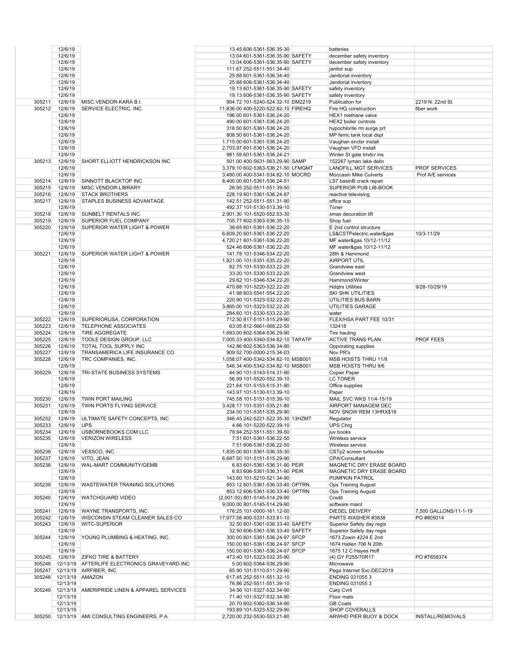|        | 12/6/19     |                                                     | 13.45 606-5361-536.35-30                                 |  | batteries                                       |                         |
|--------|-------------|-----------------------------------------------------|----------------------------------------------------------|--|-------------------------------------------------|-------------------------|
|        | 12/6/19     |                                                     | 13.04 601-5361-536.35-90 SAFETY                          |  | december safety inventory                       |                         |
|        | 12/6/19     |                                                     | 13.04 606-5361-536.35-90 SAFETY                          |  | december safety inventory                       |                         |
|        |             |                                                     |                                                          |  |                                                 |                         |
|        | 12/6/19     |                                                     | 111.67 252-5511-551.34-40                                |  | janitor sup                                     |                         |
|        | 12/6/19     |                                                     | 25.88 601-5361-536.34-40                                 |  | Janitorial inventory                            |                         |
|        | 12/6/19     |                                                     | 25.88 606-5361-536.34-40                                 |  | Janitorial inventory                            |                         |
|        | 12/6/19     |                                                     | 19.13 601-5361-536.35-90 SAFETY                          |  | safety inventory                                |                         |
|        | 12/6/19     |                                                     | 19.13 606-5361-536.35-90 SAFETY                          |  | safety inventory                                |                         |
| 305211 | 12/6/19     | MISC.VENDOR-KARA B.I.                               | 904.72 101-5240-524.32-10 DM2219                         |  | Publication for                                 | 2219 N. 22nd St.        |
| 305212 | 12/6/19     | SERVICE ELECTRIC, INC.                              | 11,836.00 400-5220-522.82-10 FIREHQ                      |  | Fire HQ construction                            | fiber work              |
|        |             |                                                     |                                                          |  |                                                 |                         |
|        | 12/6/19     |                                                     | 196.00 601-5361-536.24-20                                |  | HEX1 methane valve                              |                         |
|        | 12/6/19     |                                                     | 490.00 601-5361-536.24-20                                |  | HEX2 boiler controls                            |                         |
|        | 12/6/19     |                                                     | 318.50 601-5361-536.24-20                                |  | hypochlorite rm surge prt                       |                         |
|        | 12/6/19     |                                                     | 808.50 601-5361-536.24-20                                |  | MP ferric tank local dspl                       |                         |
|        | 12/6/19     |                                                     | 1,715.00 601-5361-536.24-20                              |  | Vaughan enclsr install                          |                         |
|        | 12/6/19     |                                                     | 2,703.97 601-5361-536.24-20                              |  | Vaughan VFD install                             |                         |
|        |             |                                                     |                                                          |  |                                                 |                         |
|        | 12/6/19     |                                                     | 981.59 601-5361-536.24-21                                |  | Winter St gate trndcr ins                       |                         |
| 305213 | 12/6/19     | SHORT ELLIOTT HENDRICKSON INC                       | 501.00 400-5631-563.29-90 SAMP                           |  | 152267 lyman lake delin                         |                         |
|        | 12/6/19     |                                                     | 3,379.10 602-5363-536.21-50 LFMGMT                       |  | LANDFILL MGT SERVICES                           | <b>PROF SERVICES</b>    |
|        | 12/6/19     |                                                     | 3,480.00 400-5341-534.82-10 MOCRD                        |  | Moccasin Mike Culverts                          | Prof A/E services       |
| 305214 | 12/6/19     | SINNOTT BLACKTOP INC                                | 8,400.00 601-5361-536.24-51                              |  | LS7 basinB crack repair                         |                         |
| 305215 | 12/6/19     | MISC.VENDOR-LIBRARY                                 | 26.95 252-5511-551.39-50                                 |  | SUPERIOR PUB LIB-BOOK                           |                         |
| 305216 | 12/6/19     | <b>STACK BROTHERS</b>                               | 228.19 601-5361-536.24-97                                |  | reactive televising                             |                         |
| 305217 | 12/6/19     | STAPLES BUSINESS ADVANTAGE                          | 142.51 252-5511-551.31-90                                |  | office sup                                      |                         |
|        |             |                                                     |                                                          |  |                                                 |                         |
|        | 12/6/19     |                                                     | 492.37 101-5130-513.39-10                                |  | Toner                                           |                         |
| 305218 | 12/6/19     | SUNBELT RENTALS INC.                                | 2,901.30 101-5520-552.53-30                              |  | xmas decoration lift                            |                         |
| 305219 | 12/6/19     | SUPERIOR FUEL COMPANY                               | 705.77 602-5363-536.35-10                                |  | Shop fuel                                       |                         |
| 305220 | 12/6/19     | SUPERIOR WATER LIGHT & POWER                        | 38.65 601-5361-536.22-20                                 |  | E 2nd control structure                         |                         |
|        | 12/6/19     |                                                     | 6,609.20 601-5361-536.22-20                              |  | LS&CSTPelectric,water&gas                       | 10/3-11/29              |
|        | 12/6/19     |                                                     | 4,720.21 601-5361-536.22-20                              |  | MF water&gas 10/12-11/12                        |                         |
|        | 12/6/19     |                                                     | 524.46 606-5361-536.22-20                                |  | MF water&gas 10/12-11/12                        |                         |
|        |             |                                                     |                                                          |  |                                                 |                         |
| 305221 | 12/6/19     | <b>SUPERIOR WATER LIGHT &amp; POWER</b>             | 141.78 101-5346-534.22-20                                |  | 28th & Hammond                                  |                         |
|        | 12/6/19     |                                                     | 1,821.00 101-5351-535.22-20                              |  | <b>AIRPORT UTIL</b>                             |                         |
|        | 12/6/19     |                                                     | 82.75 101-5330-533.22-20                                 |  | Grandview east                                  |                         |
|        | 12/6/19     |                                                     | 33.20 101-5330-533.22-20                                 |  | Grandview west                                  |                         |
|        | 12/6/19     |                                                     | 29.62 101-5346-534.22-20                                 |  | Hammond/Winter                                  |                         |
|        |             |                                                     |                                                          |  |                                                 |                         |
|        | 12/6/19     |                                                     | 470.88 101-5220-522.22-20                                |  | <b>Hdgtrs Utilities</b>                         | 9/28-10/29/19           |
|        | 12/6/19     |                                                     | 41.98 603-5541-554.22-20                                 |  | <b>SKI SHK UTILITIES</b>                        |                         |
|        | 12/6/19     |                                                     | 220.90 101-5323-532.22-20                                |  | UTILITIES BUS BARN                              |                         |
|        | 12/6/19     |                                                     | 3,865.00 101-5323-532.22-20                              |  | UTILITIES GARAGE                                |                         |
|        | 12/6/19     |                                                     | 284.60 101-5330-533.22-20                                |  | water                                           |                         |
| 305222 | 12/6/19     | SUPERIORUSA, CORPORATION                            | 712.50 817-5151-515.29-90                                |  | FLEX/HSA PART FEE 10/31                         |                         |
| 305223 | 12/6/19     | <b>TELEPHONE ASSOCIATES</b>                         | 63.05 812-5661-566.22-50                                 |  | 132418                                          |                         |
| 305224 | 12/6/19     | <b>TIRE AGGREGATE</b>                               | 1,693.00 602-5364-536.29-90                              |  | Tire hauling                                    |                         |
|        |             |                                                     |                                                          |  |                                                 |                         |
| 305225 | 12/6/19     | TOOLE DESIGN GROUP, LLC                             | 7,005.33 400-5340-534.82-10 TAPATP                       |  | <b>ACTIVE TRANS PLAN</b>                        | <b>PROF FEES</b>        |
| 305226 | 12/6/19     | TOTAL TOOL SUPPLY INC                               | 142.86 602-5363-536.34-90                                |  | Opporating supplies                             |                         |
| 305227 | 12/6/19     | TRANSAMERICA LIFE INSURANCE CO.                     | 909.52 700-0000-215.34-03                                |  | Nov PR's                                        |                         |
| 305228 | 12/6/19     | TRC COMPANIES, INC.                                 | 1,058.07 400-5342-534.82-10 MSB001                       |  | MSB HOISTS THRU 11/8                            |                         |
|        | 12/6/19     |                                                     | 546.34 400-5342-534.82-10 MSB001                         |  | MSB HOISTS THRU 9/6                             |                         |
|        |             | TRI-STATE BUSINESS SYSTEMS                          |                                                          |  | Copier Paper                                    |                         |
|        |             |                                                     |                                                          |  |                                                 |                         |
| 305229 | 12/6/19     |                                                     | 44.90 101-5143-514.31-90                                 |  |                                                 |                         |
|        | 12/6/19     |                                                     | 56.99 101-5520-552.39-10                                 |  | <b>LC TONER</b>                                 |                         |
|        | 12/6/19     |                                                     | 221.64 101-5153-515.31-90                                |  | Office supplies                                 |                         |
|        | 12/6/19     |                                                     | 143.97 101-5130-513.39-10                                |  | Paper                                           |                         |
| 305230 | 12/6/19     | <b>TWIN PORT MAILING</b>                            | 745.58 101-5151-515.39-10                                |  | MAIL SVC WKS 11/4-15/19                         |                         |
| 305231 | 12/6/19     | TWIN PORTS FLYING SERVICE                           | 3,428.17 101-5351-535.21-80                              |  | AIRPORT MANAGEM DEC                             |                         |
|        | 12/6/19     |                                                     | 234.00 101-5351-535.29-90                                |  | NOV SNOW REM 13HRX\$18                          |                         |
|        |             |                                                     |                                                          |  |                                                 |                         |
| 305232 | 12/6/19     | ULTIMATE SAFETY CONCEPTS, INC                       | 346.45 242-5221-522.35-30 13HZMT                         |  | Regulator                                       |                         |
| 305233 | 12/6/19 UPS |                                                     | 4.66 101-5220-522.39-10                                  |  | UPS Chrg                                        |                         |
| 305234 |             | 12/6/19 USBORNEBOOKS.COM LLC                        | 78.94 252-5511-551.39-50                                 |  | juv books                                       |                         |
| 305235 | 12/6/19     | <b>VERIZON WIRELESS</b>                             | 7.51 601-5361-536.22-50                                  |  | Wireless service                                |                         |
|        | 12/6/19     |                                                     | 7.51 606-5361-536.22-50                                  |  | Wireless service                                |                         |
| 305236 |             | 12/6/19  VESSCO, INC.                               | 1,835.00 601-5361-536.35-30                              |  | CSTp2 screen turbuckle                          |                         |
|        | 12/6/19     | VITO, JEAN                                          |                                                          |  | CPA/Consultant                                  |                         |
| 305237 |             |                                                     | 6,697.50 101-5151-515.29-90                              |  |                                                 |                         |
| 305238 | 12/6/19     | WAL-MART COMMUNITY/GEMB                             | 6.83 601-5361-536.31-90 PEIR                             |  | MAGNETIC DRY ERASE BOARD                        |                         |
|        | 12/6/19     |                                                     | 6.83 606-5361-536.31-90 PEIR                             |  | MAGNETIC DRY ERASE BOARD                        |                         |
|        | 12/6/19     |                                                     | 143.60 101-5210-521.34-90                                |  | PUMPKIN PATROL                                  |                         |
| 305239 | 12/6/19     | <b>WASTEWATER TRAINING SOLUTIONS</b>                | 853.12 601-5361-536.33-40 OPTRN                          |  | <b>Ops Training August</b>                      |                         |
|        | 12/6/19     |                                                     | 853.12 606-5361-536.33-40 OPTRN                          |  | <b>Ops Training August</b>                      |                         |
| 305240 | 12/6/19     | <b>WATCHGUARD VIDEO</b>                             | (2,001.00) 801-5145-514.29-90                            |  | Credit                                          |                         |
|        | 12/6/19     |                                                     | 9,000.00 801-5145-514.29-90                              |  | software maint                                  |                         |
|        |             |                                                     |                                                          |  |                                                 |                         |
| 305241 |             | 12/6/19 WAYNE TRANSPORTS, INC                       | 176.25 101-0000-161.12-00                                |  | <b>DIESEL DEIVERY</b>                           | 7,500 GALLONS/11-1-19   |
| 305242 | 12/6/19     | <b>WISCONSIN STEAM CLEANER SALES CO</b>             | 17,977.58 400-5331-533.81-10                             |  | PARTS WASHER #3838                              | PO #805014              |
| 305243 | 12/6/19     | <b>WITC-SUPERIOR</b>                                | 32.50 601-5361-536.33-40 SAFETY                          |  | Superior Safety day regis                       |                         |
|        | 12/6/19     |                                                     | 32.50 606-5361-536.33-40 SAFETY                          |  | Superior Safety day regis                       |                         |
| 305244 | 12/6/19     | YOUNG PLUMBING & HEATING, INC.                      | 300.00 601-5361-536.24-97 SFCP                           |  | 1673 Zowin 4224 E 2nd                           |                         |
|        | 12/6/19     |                                                     | 150.00 601-5361-536.24-97 SFCP                           |  | 1674 Hallen 706 N 20th                          |                         |
|        |             |                                                     |                                                          |  |                                                 |                         |
|        | 12/6/19     |                                                     | 150.00 601-5361-536.24-97 SFCP                           |  | 1675 12 C Hayes Hoff                            |                         |
| 305245 |             | 12/6/19 ZIFKO TIRE & BATTERY                        | 473.40 101-5323-532.35-90                                |  | (4) GY P255/70R17                               | PO #T658374             |
|        |             | 305246 12/13/19 AFTERLIFE ELECTRONICS GRAVEYARD INC | 5.00 602-5364-536.29-90                                  |  | Microwave                                       |                         |
| 305247 |             | 12/13/19 AIRFIBER, INC                              | 65.90 101-5110-511.29-90                                 |  | Pega Internet Svc-DEC2019                       |                         |
| 305248 |             | 12/13/19 AMAZON                                     | 617.45 252-5511-551.32-10                                |  | ENDING 0310553                                  |                         |
|        | 12/13/19    |                                                     | 76.86 252-5511-551.39-10                                 |  | ENDING 031055 3                                 |                         |
| 305249 |             | 12/13/19 AMERIPRIDE LINEN & APPAREL SERVICES        | 34.56 101-5327-532.34-90                                 |  | Carp Cvrll                                      |                         |
|        |             |                                                     |                                                          |  |                                                 |                         |
|        | 12/13/19    |                                                     | 71.40 101-5327-532.34-90                                 |  | Floor mats                                      |                         |
|        | 12/13/19    |                                                     | 20.70 602-5362-536.34-90                                 |  | <b>GB Coats</b>                                 |                         |
|        | 12/13/19    | 305250 12/13/19 AMI CONSULTING ENGINEERS, P.A.      | 193.89 101-5323-532.29-90<br>2,720.00 232-5530-553.21-80 |  | <b>SHOP COVERALLS</b><br>ARWHD PIER BUOY & DOCK | <b>INSTALL/REMOVALS</b> |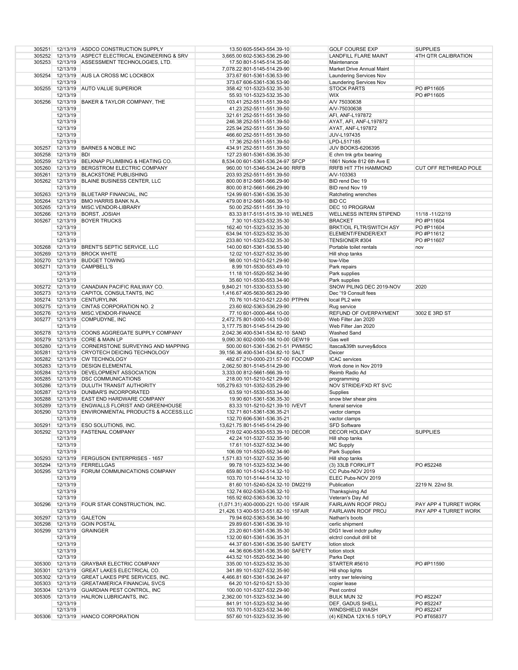|        |              | 305251 12/13/19 ASDCO CONSTRUCTION SUPPLY            | 13.50 605-5543-554.39-10             | <b>GOLF COURSE EXP</b>          | <b>SUPPLIES</b>       |
|--------|--------------|------------------------------------------------------|--------------------------------------|---------------------------------|-----------------------|
|        |              | 305252 12/13/19 ASPECT ELECTRICAL ENGINEERING & SRV  | 3,665.00 602-5363-536.29-90          | LANDFILL FLARE MAINT            | 4TH QTR CALIBRATION   |
|        |              |                                                      |                                      |                                 |                       |
|        |              | 305253 12/13/19 ASSESSMENT TECHNOLOGIES, LTD.        | 17.50 801-5145-514.35-90             | Maintenance                     |                       |
|        | 12/13/19     |                                                      | 7,078.22 801-5145-514.29-90          | Market Drive Annual Maint       |                       |
| 305254 |              | 12/13/19 AUS LA CROSS MC LOCKBOX                     | 373.67 601-5361-536.53-90            | <b>Laundering Services Nov</b>  |                       |
|        | 12/13/19     |                                                      | 373.67 606-5361-536.53-90            | <b>Laundering Services Nov</b>  |                       |
|        |              | 305255 12/13/19 AUTO VALUE SUPERIOR                  | 358.42 101-5323-532.35-30            | <b>STOCK PARTS</b>              | PO #P11605            |
|        |              |                                                      |                                      |                                 |                       |
|        | 12/13/19     |                                                      | 55.93 101-5323-532.35-30             | <b>WIX</b>                      | PO #P11605            |
|        |              | 305256 12/13/19 BAKER & TAYLOR COMPANY, THE          | 103.41 252-5511-551.39-50            | A/V 75030638                    |                       |
|        | 12/13/19     |                                                      | 41.23 252-5511-551.39-50             | A/V-75030638                    |                       |
|        | 12/13/19     |                                                      | 321.61 252-5511-551.39-50            | AFI, ANF-L197872                |                       |
|        | 12/13/19     |                                                      | 246.38 252-5511-551.39-50            | AYAT, AFI, ANF-L197872          |                       |
|        |              |                                                      |                                      |                                 |                       |
|        | 12/13/19     |                                                      | 225.94 252-5511-551.39-50            | AYAT, ANF-L197872               |                       |
|        | 12/13/19     |                                                      | 466.60 252-5511-551.39-50            | JUV-L197435                     |                       |
|        | 12/13/19     |                                                      | 17.36 252-5511-551.39-50             | LPD-L517185                     |                       |
|        |              | 305257 12/13/19 BARNES & NOBLE INC                   | 434.91 252-5511-551.39-50            | <b>JUV BOOKS-6206395</b>        |                       |
| 305258 | 12/13/19 BDI |                                                      | 127.23 601-5361-536.35-30            | E chrn tnk grbx bearing         |                       |
|        |              | 305259 12/13/19 BELKNAP PLUMBING & HEATING CO.       | 8,534.00 601-5361-536.24-97 SFCP     | 1861 Norkle 812 6th Ave E       |                       |
|        |              |                                                      |                                      |                                 |                       |
|        |              | 305260 12/13/19 BERGSTROM ELECTRIC COMPANY           | 960.00 101-5346-534.24-90 RRFB       | RRFB HIT 7TH HAMMOND            | CUT OFF RETHREAD POLE |
|        |              | 305261 12/13/19 BLACKSTONE PUBLISHING                | 203.93 252-5511-551.39-50            | A/V-103363                      |                       |
|        |              | 305262 12/13/19 BLAINE BUSINESS CENTER, LLC          | 800.00 812-5661-566.29-90            | BID rend Dec 19                 |                       |
|        | 12/13/19     |                                                      | 800.00 812-5661-566.29-90            | BID rend Nov 19                 |                       |
|        |              | 305263 12/13/19 BLUETARP FINANCIAL, INC              | 124.99 601-5361-536.35-30            | Ratcheting wrenches             |                       |
|        |              | 305264 12/13/19 BMO HARRIS BANK N.A.                 | 479.00 812-5661-566.39-10            | <b>BID CC</b>                   |                       |
|        |              |                                                      |                                      |                                 |                       |
|        |              | 305265 12/13/19 MISC.VENDOR-LIBRARY                  | 50.00 252-5511-551.39-10             | DEC 10 PROGRAM                  |                       |
|        |              | 305266 12/13/19 BORST, JOSIAH                        | 83.33 817-5151-515.39-10 WELNES      | WELLNESS INTERN STIPEND         | 11/18 -11/22/19       |
|        |              | 305267 12/13/19 BOYER TRUCKS                         | 7.30 101-5323-532.35-30              | <b>BRACKET</b>                  | PO #P11604            |
|        | 12/13/19     |                                                      | 162.40 101-5323-532.35-30            | <b>BRKT/OIL FLTR/SWITCH ASY</b> | PO #P11604            |
|        | 12/13/19     |                                                      | 634.94 101-5323-532.35-30            | ELEMENT/FENDER/EXT              | PO #P11612            |
|        |              |                                                      |                                      |                                 |                       |
|        | 12/13/19     |                                                      | 233.80 101-5323-532.35-30            | TENSIONER #304                  | PO #P11607            |
| 305268 |              | 12/13/19 BRENT'S SEPTIC SERVICE, LLC                 | 140.00 601-5361-536.53-90            | Portable toilet rentals         | nov                   |
| 305269 |              | 12/13/19 BROCK WHITE                                 | 12.02 101-5327-532.35-90             | Hill shop tanks                 |                       |
|        |              | 305270 12/13/19 BUDGET TOWING                        | 98.00 101-5210-521.29-90             | tow-Vibe                        |                       |
|        |              | 305271 12/13/19 CAMPBELL'S                           | 8.99 101-5530-553.49-10              | Park repairs                    |                       |
|        |              |                                                      |                                      |                                 |                       |
|        | 12/13/19     |                                                      | 11.18 101-5520-552.34-90             | Park supplies                   |                       |
|        | 12/13/19     |                                                      | 35.60 101-5530-553.34-90             | Park supplies                   |                       |
|        |              | 305272 12/13/19 CANADIAN PACIFIC RAILWAY CO.         | 9,840.21 101-5330-533.53-90          | SNOW PILING DEC 2019-NOV        | 2020                  |
|        |              | 305273 12/13/19 CAPITOL CONSULTANTS, INC             | 1,416.67 405-5630-563.29-90          | Dec '19 Consult fees            |                       |
|        |              | 305274 12/13/19 CENTURYLINK                          | 70.76 101-5210-521.22-50 PTPHN       | local PL2 wire                  |                       |
|        |              | 305275 12/13/19 CINTAS CORPORATION NO. 2             | 23.60 602-5363-536.29-90             | Rug service                     |                       |
|        |              | 305276 12/13/19 MISC.VENDOR-FINANCE                  | 77.10 601-0000-464.10-00             | REFUND OF OVERPAYMENT           | 3002 E 3RD ST         |
|        |              |                                                      |                                      |                                 |                       |
|        |              | 305277 12/13/19 COMPUDYNE, INC                       | 2,472.75 801-0000-143.10-00          | Web Filter Jan 2020             |                       |
|        | 12/13/19     |                                                      | 3,177.75 801-5145-514.29-90          | Web Filter Jan 2020             |                       |
|        |              | 305278 12/13/19 COONS AGGREGATE SUPPLY COMPANY       | 2,042.36 400-5341-534.82-10 SAND     | Washed Sand                     |                       |
|        |              | 305279 12/13/19 CORE & MAIN LP                       | 9,090.30 602-0000-184.10-00 GEW19    | Gas well                        |                       |
|        |              | 305280 12/13/19 CORNERSTONE SURVEYING AND MAPPING    | 500.00 601-5361-536.21-51 PWMISC     | Itasca&39th survey&docs         |                       |
|        |              | 305281 12/13/19 CRYOTECH DEICING TECHNOLOGY          | 39,156.36 400-5341-534.82-10 SALT    | Deicer                          |                       |
|        |              | 305282 12/13/19 CW TECHNOLOGY                        | 482.67 210-0000-231.57-00 FOCOMP     | <b>ICAC</b> services            |                       |
|        |              |                                                      |                                      |                                 |                       |
|        |              | 305283 12/13/19 DESIGN ELEMENTAL                     | 2,062.50 801-5145-514.29-90          | Work done in Nov 2019           |                       |
|        |              | 305284 12/13/19 DEVELOPMENT ASSOCIATION              | 3,333.00 812-5661-566.39-10          | Reimb Radio Ad                  |                       |
|        |              | 305285 12/13/19 DSC COMMUNICATIONS                   | 218.00 101-5210-521.29-90            | programming                     |                       |
|        |              | 305286 12/13/19 DULUTH TRANSIT AUTHORITY             | 105,279.63 101-5352-535.29-90        | NOV STRIDE/FXD RT SVC           |                       |
|        |              | 305287 12/13/19 DUNBAR'S INCORPORATED                | 63.59 101-5530-553.34-90             | Supplies                        |                       |
|        |              | 305288 12/13/19 EAST END HARDWARE COMPANY            | 19.90 601-5361-536.35-30             |                                 |                       |
|        |              |                                                      |                                      | snow blwr shear pins            |                       |
|        |              | 305289 12/13/19 ENGWALLS FLORIST AND GREENHOUSE      | 83.33 101-5210-521.39-10 IVEVT       | funeral service                 |                       |
|        |              | 305290 12/13/19 ENVIRONMENTAL PRODUCTS & ACCESS, LLC | 132.71 601-5361-536.35-21            | vactor clamps                   |                       |
|        | 12/13/19     |                                                      | 132.70 606-5361-536.35-21            | vactor clamps                   |                       |
|        |              | 305291 12/13/19 ESO SOLUTIONS, INC.                  | 13,621.75 801-5145-514.29-90         | SFD Software                    |                       |
|        |              | 305292 12/13/19 FASTENAL COMPANY                     | 219.02 400-5530-553.39-10 DECOR      | <b>DECOR HOLIDAY</b>            | <b>SUPPLIES</b>       |
|        | 12/13/19     |                                                      | 42.24 101-5327-532.35-90             | Hill shop tanks                 |                       |
|        |              |                                                      |                                      |                                 |                       |
|        | 12/13/19     |                                                      | 17.61 101-5327-532.34-90             | <b>MC Supply</b>                |                       |
|        | 12/13/19     |                                                      | 106.09 101-5520-552.34-90            | Park Supplies                   |                       |
|        |              | 305293 12/13/19 FERGUSON ENTERPRISES - 1657          | 1,571.83 101-5327-532.35-90          | Hill shop tanks                 |                       |
|        |              | 305294 12/13/19 FERRELLGAS                           | 99.78 101-5323-532.34-90             | (3) 33LB FORKLIFT               | PO #S2248             |
|        |              | 305295 12/13/19 FORUM COMMUNICATIONS COMPANY         | 659.80 101-5142-514.32-10            | CC Pubs-NOV 2019                |                       |
|        | 12/13/19     |                                                      | 103.70 101-5144-514.32-10            | ELEC Pubs-NOV 2019              |                       |
|        |              |                                                      |                                      |                                 | 2219 N. 22nd St.      |
|        | 12/13/19     |                                                      | 81.60 101-5240-524.32-10 DM2219      | Publication                     |                       |
|        | 12/13/19     |                                                      | 132.74 602-5363-536.32-10            | Thanksgiving Ad                 |                       |
|        | 12/13/19     |                                                      | 165.92 602-5363-536.32-10            | Veteran's Day Ad                |                       |
|        |              | 305296 12/13/19 FOUR STAR CONSTRUCTION, INC.         | (1,071.31) 400-0000-221.10-00 15FAIR | <b>FAIRLAWN ROOF PROJ</b>       | PAY APP 4 TURRET WORK |
|        | 12/13/19     |                                                      | 21,426.13 400-5512-551.82-10 15FAIR  | <b>FAIRLAWN ROOF PROJ</b>       | PAY APP 4 TURRET WORK |
|        |              | 305297 12/13/19 GALETON                              | 79.94 602-5363-536.34-90             | Nathan's boots                  |                       |
|        |              | 305298 12/13/19 GOIN POSTAL                          | 29.89 601-5361-536.39-10             | cerlic shipment                 |                       |
|        |              | 305299 12/13/19 GRAINGER                             | 23.20 601-5361-536.35-30             | DIG1 level indctr pulley        |                       |
|        |              |                                                      |                                      |                                 |                       |
|        | 12/13/19     |                                                      | 132.00 601-5361-536.35-31            | elctrcl conduit drill bit       |                       |
|        | 12/13/19     |                                                      | 44.37 601-5361-536.35-90 SAFETY      | lotion stock                    |                       |
|        | 12/13/19     |                                                      | 44.36 606-5361-536.35-90 SAFETY      | lotion stock                    |                       |
|        | 12/13/19     |                                                      | 443.52 101-5520-552.34-90            | Parks Dept                      |                       |
|        |              | 305300 12/13/19 GRAYBAR ELECTRIC COMPANY             | 335.00 101-5323-532.35-30            | STARTER #5610                   | PO #P11590            |
|        |              | 305301 12/13/19 GREAT LAKES ELECTRICAL CO.           | 341.89 101-5327-532.35-90            | Hill shop lights                |                       |
|        |              | 305302 12/13/19 GREAT LAKES PIPE SERVICES, INC.      |                                      |                                 |                       |
|        |              |                                                      | 4,466.81 601-5361-536.24-97          | sntry swr televising            |                       |
|        |              | 305303 12/13/19 GREATAMERICA FINANCIAL SVCS          | 64.20 101-5210-521.53-30             | copier lease                    |                       |
|        |              | 305304 12/13/19 GUARDIAN PEST CONTROL, INC           | 100.00 101-5327-532.29-90            | Pest control                    |                       |
|        |              | 305305 12/13/19 HALRON LUBRICANTS, INC.              | 2,362.00 101-5323-532.34-90          | <b>BULK MUN 32</b>              | PO #S2247             |
|        | 12/13/19     |                                                      | 841.91 101-5323-532.34-90            | DEF, GADUS SHELL                | PO #S2247             |
|        | 12/13/19     |                                                      | 103.70 101-5323-532.34-90            | WINDSHIELD WASH                 | PO #S2247             |
|        |              | 305306 12/13/19 HANCO CORPORATION                    | 557.60 101-5323-532.35-90            | (4) KENDA 12X16.5 10PLY         | PO #T658377           |
|        |              |                                                      |                                      |                                 |                       |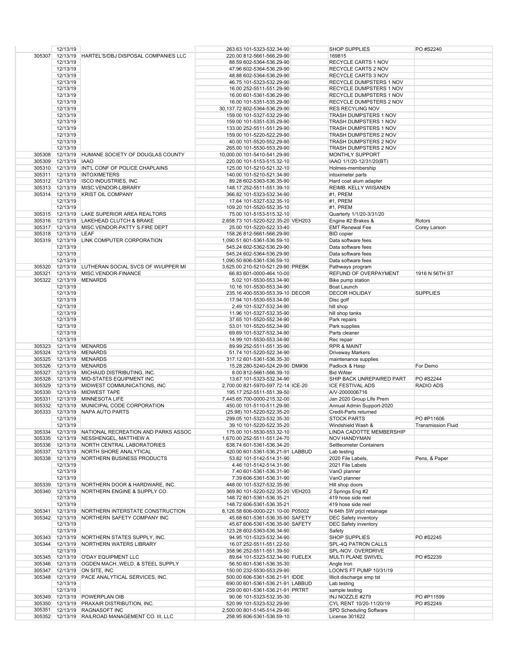|        | 12/13/19                |                                                     | 263.63 101-5323-532.34-90          | <b>SHOP SUPPLIES</b>           | PO #S2240                 |
|--------|-------------------------|-----------------------------------------------------|------------------------------------|--------------------------------|---------------------------|
| 305307 |                         | 12/13/19 HARTEL'S/DBJ DISPOSAL COMPANIES LLC        | 220.00 812-5661-566.29-90          | 169815                         |                           |
|        | 12/13/19                |                                                     | 88.59 602-5364-536.29-90           | RECYCLE CARTS 1 NOV            |                           |
|        | 12/13/19                |                                                     | 47.96 602-5364-536.29-90           | RECYCLE CARTS 2 NOV            |                           |
|        | 12/13/19                |                                                     | 48.88 602-5364-536.29-90           | RECYCLE CARTS 3 NOV            |                           |
|        | 12/13/19                |                                                     | 46.75 101-5323-532.29-90           | RECYCLE DUMPSTERS 1 NOV        |                           |
|        | 12/13/19                |                                                     | 16.00 252-5511-551.29-90           | <b>RECYCLE DUMPSTERS 1 NOV</b> |                           |
|        | 12/13/19                |                                                     | 16.00 601-5361-536.29-90           | <b>RECYCLE DUMPSTERS 1 NOV</b> |                           |
|        |                         |                                                     |                                    |                                |                           |
|        | 12/13/19                |                                                     | 16.00 101-5351-535.29-90           | RECYCLE DUMPSTERS 2 NOV        |                           |
|        | 12/13/19                |                                                     | 30, 137.72 602-5364-536.29-90      | <b>RES RECYLING NOV</b>        |                           |
|        | 12/13/19                |                                                     | 159.00 101-5327-532.29-90          | TRASH DUMPSTERS 1 NOV          |                           |
|        | 12/13/19                |                                                     | 159.00 101-5351-535.29-90          | <b>TRASH DUMPSTERS 1 NOV</b>   |                           |
|        | 12/13/19                |                                                     | 133.00 252-5511-551.29-90          | <b>TRASH DUMPSTERS 1 NOV</b>   |                           |
|        | 12/13/19                |                                                     | 159.00 101-5220-522.29-90          | TRASH DUMPSTERS 2 NOV          |                           |
|        | 12/13/19                |                                                     | 40.00 101-5520-552.29-90           | TRASH DUMPSTERS 2 NOV          |                           |
|        | 12/13/19                |                                                     | 265.00 101-5530-553.29-90          | <b>TRASH DUMPSTERS 2 NOV</b>   |                           |
| 305308 |                         | 12/13/19 HUMANE SOCIETY OF DOUGLAS COUNTY           | 10,000.00 101-5410-541.29-90       | <b>MONTHLY SUPPORT</b>         |                           |
|        |                         |                                                     |                                    |                                |                           |
| 305309 | 12/13/19 IAAO           |                                                     | 220.00 101-5153-515.32-10          | IAAO 1/1/20-12/31/20(BT)       |                           |
|        |                         | 305310 12/13/19 INT'L CONF OF POLICE CHAPLAINS      | 125.00 101-5210-521.32-10          | Holmes-membership              |                           |
|        |                         | 305311 12/13/19 INTOXIMETERS                        | 140.00 101-5210-521.34-90          | intoximeter parts              |                           |
|        |                         | 305312 12/13/19 ISCO INDUSTRIES, INC                | 89.28 602-5363-536.35-90           | Hard coat alum adapter         |                           |
|        |                         | 305313 12/13/19 MISC.VENDOR-LIBRARY                 | 148.17 252-5511-551.39-10          | REIMB. KELLY WIISANEN          |                           |
|        |                         | 305314 12/13/19 KRIST OIL COMPANY                   | 366.82 101-5323-532.34-90          | #1, PREM                       |                           |
|        | 12/13/19                |                                                     | 17.64 101-5327-532.35-10           | #1, PREM                       |                           |
|        | 12/13/19                |                                                     | 109.20 101-5520-552.35-10          | #1, PREM                       |                           |
|        |                         | 305315 12/13/19 LAKE SUPERIOR AREA REALTORS         | 75.00 101-5153-515.32-10           | Quarterly 1/1/20-3/31/20       |                           |
| 305316 | 12/13/19                | LAKEHEAD CLUTCH & BRAKE                             | 2,658.73 101-5220-522.35-20 VEH203 | Engine #2 Brakes &             | Rotors                    |
|        |                         | 305317 12/13/19 MISC.VENDOR-PATTY S.FIRE DEPT       | 25.00 101-5220-522.33-40           | <b>EMT Renewal Fee</b>         | Corey Larson              |
|        | 305318 12/13/19 LEAF    |                                                     |                                    |                                |                           |
|        |                         |                                                     | 158.26 812-5661-566.29-90          | <b>BID</b> copier              |                           |
|        |                         | 305319 12/13/19 LINK COMPUTER CORPORATION           | 1,090.51 601-5361-536.59-10        | Data software fees             |                           |
|        | 12/13/19                |                                                     | 545.24 602-5362-536.29-90          | Data software fees             |                           |
|        | 12/13/19                |                                                     | 545.24 602-5364-536.29-90          | Data software fees             |                           |
|        | 12/13/19                |                                                     | 1.090.50 606-5361-536.59-10        | Data software fees             |                           |
| 305320 |                         | 12/13/19 LUTHERAN SOCIAL SVCS OF WI/UPPER MI        | 3,625.00 210-5210-521.29-90 PREBK  | Pathways program               |                           |
| 305321 |                         | 12/13/19 MISC.VENDOR-FINANCE                        | 66.83 601-0000-464.10-00           | REFUND OF OVERPAYMENT          | 1916 N 56TH ST            |
|        | 305322 12/13/19 MENARDS |                                                     | 5.02 101-5530-553.34-90            | Bike pump station              |                           |
|        | 12/13/19                |                                                     |                                    | <b>Boat Launch</b>             |                           |
|        |                         |                                                     | 10.16 101-5530-553.34-90           |                                |                           |
|        | 12/13/19                |                                                     | 235.16 400-5530-553.39-10 DECOR    | <b>DECOR HOLIDAY</b>           | <b>SUPPLIES</b>           |
|        | 12/13/19                |                                                     | 17.94 101-5530-553.34-90           | Disc golf                      |                           |
|        | 12/13/19                |                                                     | 2.49 101-5327-532.34-90            | hill shop                      |                           |
|        | 12/13/19                |                                                     | 11.96 101-5327-532.35-90           | hill shop tanks                |                           |
|        | 12/13/19                |                                                     | 37.65 101-5520-552.34-90           | Park repairs                   |                           |
|        | 12/13/19                |                                                     | 53.01 101-5520-552.34-90           | Park supplies                  |                           |
|        | 12/13/19                |                                                     | 69.69 101-5327-532.34-90           | Parts cleaner                  |                           |
|        | 12/13/19                |                                                     | 14.99 101-5530-553.34-90           | Rec repair                     |                           |
| 305323 |                         | 12/13/19 MENARDS                                    | 89.99 252-5511-551.35-90           | <b>RPR &amp; MAINT</b>         |                           |
|        |                         |                                                     |                                    |                                |                           |
| 305324 |                         | 12/13/19 MENARDS                                    | 51.74 101-5220-522.34-90           | <b>Driveway Markers</b>        |                           |
|        | 305325 12/13/19 MENARDS |                                                     | 317.12 601-5361-536.35-30          | maintenance supplies           |                           |
|        | 305326 12/13/19 MENARDS |                                                     | 15.28 280-5240-524.29-90 DM#36     | Padlock & Hasp                 | For Demo                  |
|        |                         | 305327 12/13/19 MICHAUD DISTRIBUTING, INC.          | 8.00 812-5661-566.39-10            | <b>Bid WAter</b>               |                           |
|        |                         | 305328 12/13/19 MID-STATES EQUIPMENT INC            | 13.67 101-5323-532.34-90           | SHIP BACK UNREPAIRED PART      | PO #S2244                 |
|        |                         | 305329 12/13/19 MIDWEST COMMUNICATIONS, INC         | 2,700.00 821-5970-597.72-14 ICE-20 | <b>ICE FESTIVAL ADS</b>        | RADIO ADS                 |
|        |                         | 305330 12/13/19 MIDWEST TAPE                        | 195.17 252-5511-551.39-50          | A/V-2000006716                 |                           |
|        |                         | 305331 12/13/19 MINNESOTA LIFE                      | 7,445.65 700-0000-215.32-00        | Jan 2020 Group Life Prem       |                           |
|        |                         | 305332 12/13/19 MUNICIPAL CODE CORPORATION          | 450.00 101-5110-511.29-90          | Annual Admin Support-2020      |                           |
|        |                         | 305333 12/13/19 NAPA AUTO PARTS                     | (25.98) 101-5220-522.35-20         | Credit-Parts returned          |                           |
|        | 12/13/19                |                                                     | 299.05 101-5323-532.35-30          | <b>STOCK PARTS</b>             | PO #P11606                |
|        | 12/13/19                |                                                     | 39.10 101-5220-522.35-20           |                                | <b>Transmission Fluid</b> |
|        |                         |                                                     |                                    | Windshield Wash &              |                           |
|        |                         | 305334 12/13/19 NATIONAL RECREATION AND PARKS ASSOC | 175.00 101-5530-553.32-10          | LINDA CADOTTE MEMBERSHIP       |                           |
|        |                         | 305335 12/13/19 NESSHENGEL, MATTHEW A               | 1,670.00 252-5511-551.24-70        | NOV HANDYMAN                   |                           |
|        |                         | 305336 12/13/19 NORTH CENTRAL LABORATORIES          | 638.74 601-5361-536.34-20          | Settleometer Containers        |                           |
|        |                         | 305337 12/13/19 NORTH SHORE ANALYTICAL              | 420.00 601-5361-536.21-91 LABBUD   | Lab testing                    |                           |
|        |                         | 305338 12/13/19 NORTHERN BUSINESS PRODUCTS          | 53.82 101-5142-514.31-90           | 2020 File Labels,              | Pens, & Paper             |
|        | 12/13/19                |                                                     | 4.46 101-5142-514.31-90            | 2021 File Labels               |                           |
|        | 12/13/19                |                                                     | 7.40 601-5361-536.31-90            | VanO planner                   |                           |
|        | 12/13/19                |                                                     | 7.39 606-5361-536.31-90            | VanO planner                   |                           |
|        |                         | 305339 12/13/19 NORTHERN DOOR & HARDWARE, INC.      | 448.00 101-5327-532.35-90          | Hill shop doors                |                           |
|        |                         | 305340 12/13/19 NORTHERN ENGINE & SUPPLY CO.        | 369.80 101-5220-522.35-20 VEH203   | 2 Springs Eng #2               |                           |
|        | 12/13/19                |                                                     | 148.72 601-5361-536.35-21          | 419 hose side reel             |                           |
|        | 12/13/19                |                                                     |                                    |                                |                           |
|        |                         |                                                     | 148.72 606-5361-536.35-21          | 419 hose side reel             |                           |
|        |                         | 305341 12/13/19 NORTHERN INTERSTATE CONSTRUCTION    | 8,126.58 606-0000-221.10-00 P05002 | N 64th SW prict retainage      |                           |
|        |                         | 305342 12/13/19 NORTHERN SAFETY COMPANY INC         | 45.68 601-5361-536.35-90 SAFETY    | <b>DEC Safety inventory</b>    |                           |
|        | 12/13/19                |                                                     | 45.67 606-5361-536.35-90 SAFETY    | <b>DEC Safety inventory</b>    |                           |
|        | 12/13/19                |                                                     | 123.28 602-5363-536.34-90          | Safety                         |                           |
|        |                         | 305343 12/13/19 NORTHERN STATES SUPPLY, INC.        | 94.95 101-5323-532.34-90           | SHOP SUPPLIES                  | PO #S2245                 |
|        |                         | 305344 12/13/19 NORTHERN WATERS LIBRARY             | 16.07 252-5511-551.22-50           | SPL-4Q PATRON CALLS            |                           |
|        | 12/13/19                |                                                     | 358.96 252-5511-551.39-50          | SPL-NOV. OVERDRIVE             |                           |
|        |                         | 305345 12/13/19 O'DAY EQUIPMENT LLC                 | 89.64 101-5323-532.34-90 FUELEX    | MULTI PLANE SWIVEL             | PO #S2239                 |
|        |                         | 305346 12/13/19 OGDEN MACH., WELD, & STEEL SUPPLY   | 56.50 601-5361-536.35-30           | Angle Iron                     |                           |
|        |                         | 305347 12/13/19 ON SITE, INC                        | 150.00 232-5530-553.29-90          | LOON'S FT PUMP 10/31/19        |                           |
|        |                         |                                                     |                                    |                                |                           |
|        |                         | 305348 12/13/19 PACE ANALYTICAL SERVICES, INC.      | 500.00 606-5361-536.21-91 IDDE     | Illicit discharge smp tst      |                           |
|        | 12/13/19                |                                                     | 690.00 601-5361-536.21-91 LABBUD   | Lab testing                    |                           |
|        | 12/13/19                |                                                     | 259.00 601-5361-536.21-91 PRTRT    | sample testing                 |                           |
|        |                         | 305349 12/13/19 POWERPLAN OIB                       | 90.06 101-5323-532.35-30           | INJ NOZZLE #279                | PO #P11599                |
|        |                         | 305350 12/13/19 PRAXAIR DISTRIBUTION, INC.          | 520.99 101-5323-532.29-90          | CYL RENT 10/20-11/20/19        | PO #S2249                 |
|        |                         | 305351 12/13/19 RAGNASOFT INC                       | 2,500.00 801-5145-514.29-90        | SPD Scheduling Software        |                           |
|        |                         | 305352 12/13/19 RAILROAD MANAGEMENT CO. III, LLC    | 258.95 606-5361-536.59-10          | License 301622                 |                           |
|        |                         |                                                     |                                    |                                |                           |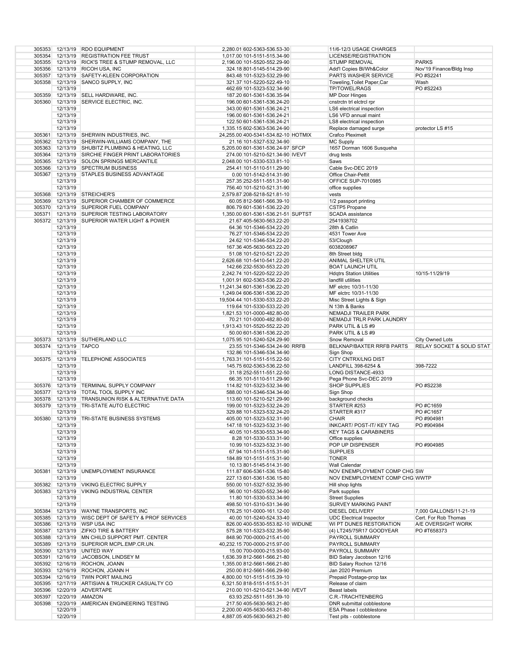|        |                        | 305353 12/13/19 RDO EQUIPMENT                       | 2,280.01 602-5363-536.53-30                                | 11/6-12/3 USAGE CHARGES                            |                                      |
|--------|------------------------|-----------------------------------------------------|------------------------------------------------------------|----------------------------------------------------|--------------------------------------|
|        |                        |                                                     |                                                            |                                                    |                                      |
|        |                        | 305354 12/13/19 REGISTRATION FEE TRUST              | 1,017.00 101-5151-515.34-90                                | LICENSE/REGISTRATION                               |                                      |
|        |                        | 305355 12/13/19 RICK'S TREE & STUMP REMOVAL, LLC    | 2,196.00 101-5520-552.29-90                                | <b>STUMP REMOVAL</b>                               | <b>PARKS</b>                         |
|        |                        | 305356 12/13/19 RICOH USA, INC                      | 324.18 801-5145-514.29-90                                  | Add'l Copies BI/Wh&Color                           | Nov'19 Finance/Bldg Insp             |
|        |                        | 305357 12/13/19 SAFETY-KLEEN CORPORATION            |                                                            | <b>PARTS WASHER SERVICE</b>                        | PO #S2241                            |
|        |                        |                                                     | 843.48 101-5323-532.29-90                                  |                                                    |                                      |
|        |                        | 305358 12/13/19 SANCO SUPPLY, INC                   | 321.37 101-5220-522.49-10                                  | Toweling, Toilet Paper, Car                        | Wash                                 |
|        | 12/13/19               |                                                     | 462.69 101-5323-532.34-90                                  | <b>TP/TOWEL/RAGS</b>                               | PO #S2243                            |
| 305359 |                        | 12/13/19 SELL HARDWARE, INC.                        |                                                            |                                                    |                                      |
|        |                        |                                                     | 187.20 601-5361-536.35-94                                  | <b>MP Door Hinges</b>                              |                                      |
| 305360 | 12/13/19               | SERVICE ELECTRIC, INC.                              | 196.00 601-5361-536.24-20                                  | cnstrctn trl elctrcl rpr                           |                                      |
|        | 12/13/19               |                                                     | 343.00 601-5361-536.24-21                                  | LS6 electrical inspection                          |                                      |
|        |                        |                                                     |                                                            | LS6 VFD annual maint                               |                                      |
|        | 12/13/19               |                                                     | 196.00 601-5361-536.24-21                                  |                                                    |                                      |
|        | 12/13/19               |                                                     | 122.50 601-5361-536.24-21                                  | LS8 electrical inspection                          |                                      |
|        | 12/13/19               |                                                     | 1,335.15 602-5363-536.24-90                                | Replace damaged surge                              | protector LS #15                     |
|        |                        | 305361 12/13/19 SHERWIN INDUSTRIES, INC.            | 24,255.00 400-5341-534.82-10 HOTMIX                        |                                                    |                                      |
|        |                        |                                                     |                                                            | <b>Crafco Pleximelt</b>                            |                                      |
|        |                        | 305362 12/13/19 SHERWIN-WILLIAMS COMPANY, THE       | 21.16 101-5327-532.34-90                                   | <b>MC Supply</b>                                   |                                      |
|        |                        | 305363 12/13/19 SHUBITZ PLUMBING & HEATING, LLC     | 5,205.00 601-5361-536.24-97 SFCP                           | 1657 Dorman 1606 Susqueha                          |                                      |
|        |                        | 305364 12/13/19 SIRCHIE FINGER PRINT LABORATORIES   | 274.00 101-5210-521.34-90 IVEVT                            | drug tests                                         |                                      |
|        |                        |                                                     |                                                            |                                                    |                                      |
|        |                        | 305365 12/13/19 SOLON SPRINGS MERCANTILE            | 2,048.00 101-5330-533.81-10                                | Saws                                               |                                      |
| 305366 |                        | 12/13/19 SPECTRUM BUSINESS                          | 254.41 101-5110-511.29-90                                  | Cable Svc-DEC 2019                                 |                                      |
| 305367 |                        | 12/13/19 STAPLES BUSINESS ADVANTAGE                 |                                                            | Office Chair-Pettit                                |                                      |
|        |                        |                                                     | 0.00 101-5142-514.31-90                                    |                                                    |                                      |
|        | 12/13/19               |                                                     | 257.35 252-5511-551.31-90                                  | <b>OFFICE SUP-7010985</b>                          |                                      |
|        | 12/13/19               |                                                     | 756.40 101-5210-521.31-90                                  | office supplies                                    |                                      |
| 305368 |                        | 12/13/19 STREICHER'S                                |                                                            | vests                                              |                                      |
|        |                        |                                                     | 2,579.87 208-5218-521.81-10                                |                                                    |                                      |
| 305369 |                        | 12/13/19 SUPERIOR CHAMBER OF COMMERCE               | 60.05 812-5661-566.39-10                                   | 1/2 passport printing                              |                                      |
|        |                        | 305370 12/13/19 SUPERIOR FUEL COMPANY               | 806.79 601-5361-536.22-20                                  | CSTP5 Propane                                      |                                      |
| 305371 |                        | 12/13/19 SUPERIOR TESTING LABORATORY                | 1,350.00 601-5361-536.21-51 SUPTST                         | SCADA assistance                                   |                                      |
|        |                        |                                                     |                                                            |                                                    |                                      |
| 305372 |                        | 12/13/19 SUPERIOR WATER LIGHT & POWER               | 21.67 405-5630-563.22-20                                   | 2541938702                                         |                                      |
|        | 12/13/19               |                                                     | 64.36 101-5346-534.22-20                                   | 28th & Catlin                                      |                                      |
|        | 12/13/19               |                                                     | 76.27 101-5346-534.22-20                                   | 4531 Tower Ave                                     |                                      |
|        |                        |                                                     |                                                            |                                                    |                                      |
|        | 12/13/19               |                                                     | 24.62 101-5346-534.22-20                                   | 53/Clough                                          |                                      |
|        | 12/13/19               |                                                     | 167.36 405-5630-563.22-20                                  | 6038208967                                         |                                      |
|        | 12/13/19               |                                                     | 51.08 101-5210-521.22-20                                   | 8th Street bldg                                    |                                      |
|        |                        |                                                     |                                                            |                                                    |                                      |
|        | 12/13/19               |                                                     | 2,626.68 101-5410-541.22-20                                | ANIMAL SHELTER UTIL                                |                                      |
|        | 12/13/19               |                                                     | 142.66 232-5530-553.22-20                                  | <b>BOAT LAUNCH UTIL</b>                            |                                      |
|        | 12/13/19               |                                                     | 2,242.74 101-5220-522.22-20                                | <b>Hdgtrs Station Utilities</b>                    | 10/15-11/29/19                       |
|        |                        |                                                     |                                                            |                                                    |                                      |
|        | 12/13/19               |                                                     | 1,001.91 602-5363-536.22-20                                | landfill utilities                                 |                                      |
|        | 12/13/19               |                                                     | 11,241.34 601-5361-536.22-20                               | MF elctrc 10/31-11/30                              |                                      |
|        | 12/13/19               |                                                     | 1,249.04 606-5361-536.22-20                                | MF elctrc 10/31-11/30                              |                                      |
|        | 12/13/19               |                                                     | 19,504.44 101-5330-533.22-20                               | Misc Street Lights & Sign                          |                                      |
|        |                        |                                                     |                                                            |                                                    |                                      |
|        | 12/13/19               |                                                     | 119.64 101-5330-533.22-20                                  | N 13th & Banks                                     |                                      |
|        | 12/13/19               |                                                     | 1,821.53 101-0000-482.80-00                                | <b>NEMADJI TRAILER PARK</b>                        |                                      |
|        | 12/13/19               |                                                     | 70.21 101-0000-482.80-00                                   | NEMADJI TRLR PARK LAUNDRY                          |                                      |
|        | 12/13/19               |                                                     | 1,913.43 101-5520-552.22-20                                | PARK UTIL & LS #9                                  |                                      |
|        |                        |                                                     |                                                            |                                                    |                                      |
|        |                        |                                                     |                                                            |                                                    |                                      |
|        | 12/13/19               |                                                     | 50.00 601-5361-536.22-20                                   | PARK UTIL & LS #9                                  |                                      |
| 305373 |                        | 12/13/19 SUTHERLAND LLC                             | 1,075.95 101-5240-524.29-90                                | Snow Removal                                       | City Owned Lots                      |
| 305374 | 12/13/19 TAPCO         |                                                     | 23.55 101-5346-534.24-90 RRFB                              | BELKNAP/BAXTER RRFB PARTS                          | <b>RELAY SOCKET &amp; SOLID STAT</b> |
|        |                        |                                                     |                                                            |                                                    |                                      |
|        | 12/13/19               |                                                     | 132.86 101-5346-534.34-90                                  | Sign Shop                                          |                                      |
| 305375 | 12/13/19               | <b>TELEPHONE ASSOCIATES</b>                         | 1,763.31 101-5151-515.22-50                                | <b>CITY CNTRX/LNG DIST</b>                         |                                      |
|        | 12/13/19               |                                                     | 145.75 602-5363-536.22-50                                  | LANDFILL 398-6254 &                                | 398-7222                             |
|        | 12/13/19               |                                                     | 31.18 252-5511-551.22-50                                   | LONG DISTANCE-4933                                 |                                      |
|        | 12/13/19               |                                                     |                                                            |                                                    |                                      |
|        |                        |                                                     | 66.35 101-5110-511.29-90                                   | Pega Phone Svc-DEC 2019                            |                                      |
|        |                        | 305376 12/13/19 TERMINAL SUPPLY COMPANY             | 114.82 101-5323-532.34-90                                  | <b>SHOP SUPPLIES</b>                               | PO #S2238                            |
|        |                        | 305377 12/13/19 TOTAL TOOL SUPPLY INC               | 588.00 101-5346-534.34-90                                  | Sign Shop                                          |                                      |
| 305378 |                        | 12/13/19 TRANSUNION RISK & ALTERNATIVE DATA         | 113.60 101-5210-521.29-90                                  |                                                    |                                      |
|        |                        |                                                     |                                                            | background checks                                  |                                      |
| 305379 |                        | 12/13/19 TRI-STATE AUTO ELECTRIC                    | 199.00 101-5323-532.24-20                                  | STARTER #253                                       | PO#C1659                             |
|        | 12/13/19               |                                                     | 329.88 101-5323-532.24-20                                  | STARTER #317                                       | PO #C1657                            |
|        |                        | 305380 12/13/19 TRI-STATE BUSINESS SYSTEMS          | 405.00 101-5323-532.31-90                                  | <b>CHAIR</b>                                       | PO #904981                           |
|        |                        |                                                     |                                                            |                                                    |                                      |
|        | 12/13/19               |                                                     | 147.18 101-5323-532.31-90                                  | INKCART/ POST-IT/ KEY TAG                          | PO #904984                           |
|        | 12/13/19               |                                                     | 40.05 101-5530-553.34-90                                   | <b>KEY TAGS &amp; CARABINERS</b>                   |                                      |
|        | 12/13/19               |                                                     | 8.28 101-5330-533.31-90                                    | Office supplies                                    |                                      |
|        | 12/13/19               |                                                     | 10.99 101-5323-532.31-90                                   | POP UP DISPENSER                                   | PO #904985                           |
|        |                        |                                                     |                                                            |                                                    |                                      |
|        | 12/13/19               |                                                     | 67.94 101-5151-515.31-90                                   | <b>SUPPLIES</b>                                    |                                      |
|        | 12/13/19               |                                                     | 184.89 101-5151-515.31-90                                  | <b>TONER</b>                                       |                                      |
|        | 12/13/19               |                                                     | 10.13 801-5145-514.31-90                                   | Wall Calendar                                      |                                      |
|        |                        |                                                     |                                                            |                                                    |                                      |
| 305381 |                        | 12/13/19 UNEMPLOYMENT INSURANCE                     | 111.87 606-5361-536.15-80                                  | NOV ENEMPLOYMENT COMP CHG SW                       |                                      |
|        | 12/13/19               |                                                     | 227.13 601-5361-536.15-80                                  | NOV ENEMPLOYMENT COMP CHG WWTP                     |                                      |
|        |                        | 305382 12/13/19 VIKING ELECTRIC SUPPLY              | 550.00 101-5327-532.35-90                                  | Hill shop lights                                   |                                      |
|        |                        |                                                     |                                                            |                                                    |                                      |
| 305383 |                        | 12/13/19 VIKING INDUSTRIAL CENTER                   | 96.00 101-5520-552.34-90                                   | Park supplies                                      |                                      |
|        | 12/13/19               |                                                     | 11.80 101-5330-533.34-90                                   | <b>Street Supplies</b>                             |                                      |
|        | 12/13/19               |                                                     | 498.50 101-5310-531.34-90                                  | <b>SURVEY MARKING PAINT</b>                        |                                      |
|        |                        |                                                     |                                                            |                                                    |                                      |
|        |                        | 305384 12/13/19 WAYNE TRANSPORTS, INC               | 176.25 101-0000-161.12-00                                  | DIESEL DELIVERY                                    | 7,000 GALLONS/11-21-19               |
|        |                        | 305385 12/13/19 WISC DEPT OF SAFETY & PROF SERVICES | 40.00 101-5240-524.33-40                                   | <b>UDC Electrical Inspector</b>                    | Cert. For Rob Thomas                 |
|        |                        | 305386 12/13/19 WSP USA INC                         | 826.00 400-5530-553.82-10 WIDUNE                           | WI PT DUNES RESTORATION                            | A/E OVERSIGHT WORK                   |
|        |                        | 305387 12/13/19 ZIFKO TIRE & BATTERY                | 575.28 101-5323-532.35-90                                  | (4) LT245/75R17 GOODYEAR                           | PO #T658373                          |
|        |                        |                                                     |                                                            |                                                    |                                      |
|        |                        | 305388 12/13/19 MN CHILD SUPPORT PMT. CENTER        | 848.90 700-0000-215.41-00                                  | PAYROLL SUMMARY                                    |                                      |
|        |                        | 305389 12/13/19 SUPERIOR MCPL.EMP.CR.UN.            | 40,232.15 700-0000-215.97-00                               | PAYROLL SUMMARY                                    |                                      |
|        |                        | 305390 12/13/19 UNITED WAY                          | 15.00 700-0000-215.93-00                                   | PAYROLL SUMMARY                                    |                                      |
|        |                        |                                                     |                                                            |                                                    |                                      |
|        |                        | 305391 12/16/19 JACOBSON, LINDSEY M                 | 1,636.39 812-5661-566.21-80                                | BID Salary Jacobson 12/16                          |                                      |
|        |                        | 305392 12/16/19 ROCHON, JOANN                       | 1,355.00 812-5661-566.21-80                                | BID Salary Rochon 12/16                            |                                      |
|        |                        | 305393 12/16/19 ROCHON, JOANN H                     | 250.00 812-5661-566.29-90                                  | Jan 2020 Premium                                   |                                      |
|        |                        | 305394 12/16/19 TWIN PORT MAILING                   | 4,800.00 101-5151-515.39-10                                | Prepaid Postage-prop tax                           |                                      |
|        |                        |                                                     |                                                            |                                                    |                                      |
|        |                        | 305395 12/17/19 ARTISIAN & TRUCKER CASUALTY CO      | 6,321.50 818-5151-515.51-31                                | Release of claim                                   |                                      |
|        |                        | 305396 12/20/19 ADVERTAPE                           | 210.00 101-5210-521.34-90 IVEVT                            | Beast labels                                       |                                      |
|        | 305397 12/20/19 AMAZON |                                                     | 63.93 252-5511-551.39-10                                   | C.R.-TRACHTENBERG                                  |                                      |
| 305398 |                        | 12/20/19 AMERICAN ENGINEERING TESTING               | 217.50 405-5630-563.21-80                                  | DNR submittal cobblestone                          |                                      |
|        |                        |                                                     |                                                            |                                                    |                                      |
|        | 12/20/19<br>12/20/19   |                                                     | 2,200.00 405-5630-563.21-80<br>4,887.05 405-5630-563.21-80 | ESA Phase I cobblestone<br>Test pits - cobblestone |                                      |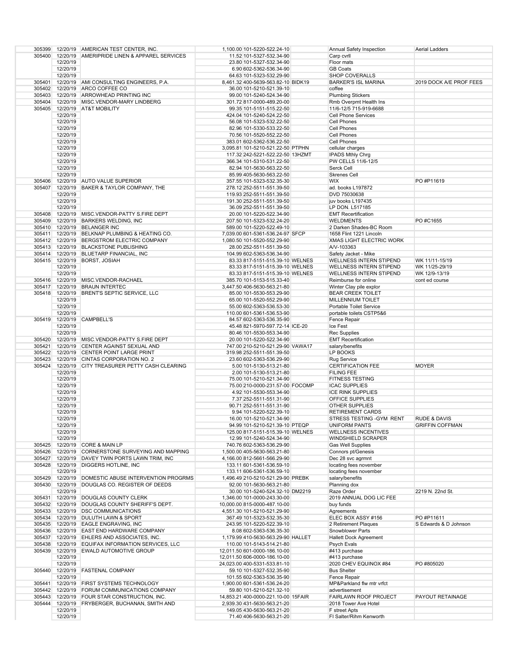| 305399 |          | 12/20/19 AMERICAN TEST CENTER, INC.                 | 1,100.00 101-5220-522.24-10         | Annual Safety Inspection        | Aerial Ladders          |
|--------|----------|-----------------------------------------------------|-------------------------------------|---------------------------------|-------------------------|
| 305400 |          | 12/20/19 AMERIPRIDE LINEN & APPAREL SERVICES        | 11.52 101-5327-532.34-90            | Carp cvrll                      |                         |
|        | 12/20/19 |                                                     | 23.80 101-5327-532.34-90            | Floor mats                      |                         |
|        |          |                                                     |                                     |                                 |                         |
|        | 12/20/19 |                                                     | 6.90 602-5362-536.34-90             | <b>GB Coats</b>                 |                         |
|        | 12/20/19 |                                                     | 64.63 101-5323-532.29-90            | <b>SHOP COVERALLS</b>           |                         |
| 305401 |          | 12/20/19 AMI CONSULTING ENGINEERS, P.A.             | 8,461.32 400-5639-563.82-10 BIDK19  | <b>BARKER'S ISL MARINA</b>      | 2019 DOCK A/E PROF FEES |
|        |          | 305402 12/20/19 ARCO COFFEE CO                      | 36.00 101-5210-521.39-10            | coffee                          |                         |
|        |          | 305403 12/20/19 ARROWHEAD PRINTING INC              | 99.00 101-5240-524.34-90            | <b>Plumbing Stickers</b>        |                         |
|        |          | 305404 12/20/19 MISC.VENDOR-MARY LINDBERG           | 301.72 817-0000-489.20-00           | Rmb Overpmt Health Ins          |                         |
|        |          | 305405 12/20/19 AT&T MOBILITY                       | 99.35 101-5151-515.22-50            | 11/6-12/5 715-919-6688          |                         |
|        | 12/20/19 |                                                     | 424.04 101-5240-524.22-50           | <b>Cell Phone Services</b>      |                         |
|        |          |                                                     |                                     |                                 |                         |
|        | 12/20/19 |                                                     | 56.08 101-5323-532.22-50            | Cell Phones                     |                         |
|        | 12/20/19 |                                                     | 82.96 101-5330-533.22-50            | Cell Phones                     |                         |
|        | 12/20/19 |                                                     | 70.56 101-5520-552.22-50            | Cell Phones                     |                         |
|        | 12/20/19 |                                                     | 383.01 602-5362-536.22-50           | Cell Phones                     |                         |
|        | 12/20/19 |                                                     | 3,095.81 101-5210-521.22-50 PTPHN   | cellular charges                |                         |
|        | 12/20/19 |                                                     | 117.32 242-5221-522.22-50 13HZMT    | <b>IPADS Mthly Chrq</b>         |                         |
|        | 12/20/19 |                                                     | 366.34 101-5310-531.22-50           | PW CELLS 11/6-12/5              |                         |
|        | 12/20/19 |                                                     | 82.94 101-5630-563.22-50            | Serck Cell                      |                         |
|        | 12/20/19 |                                                     | 85.99 405-5630-563.22-50            | <b>Skrenes Cell</b>             |                         |
| 305406 |          | 12/20/19 AUTO VALUE SUPERIOR                        |                                     | <b>WIX</b>                      | PO #P11619              |
|        |          |                                                     | 357.55 101-5323-532.35-30           |                                 |                         |
| 305407 |          | 12/20/19 BAKER & TAYLOR COMPANY, THE                | 278.12 252-5511-551.39-50           | ad. books L197872               |                         |
|        | 12/20/19 |                                                     | 119.93 252-5511-551.39-50           | DVD 75030638                    |                         |
|        | 12/20/19 |                                                     | 191.30 252-5511-551.39-50           | juv books L197435               |                         |
|        | 12/20/19 |                                                     | 36.09 252-5511-551.39-50            | LP DON. L517185                 |                         |
|        |          | 305408 12/20/19 MISC.VENDOR-PATTY S.FIRE DEPT       | 20.00 101-5220-522.34-90            | <b>EMT Recertification</b>      |                         |
|        |          | 305409 12/20/19 BARKERS WELDING, INC                | 207.50 101-5323-532.24-20           | <b>WELDMENTS</b>                | PO #C1655               |
|        |          | 305410 12/20/19 BELANGER INC                        | 589.00 101-5220-522.49-10           | 2 Darken Shades-BC Room         |                         |
|        |          | 305411 12/20/19 BELKNAP PLUMBING & HEATING CO.      | 7,039.00 601-5361-536.24-97 SFCP    | 1658 Flint 1221 Lincoln         |                         |
|        |          | 305412 12/20/19 BERGSTROM ELECTRIC COMPANY          |                                     | <b>XMAS LIGHT ELECTRIC WORK</b> |                         |
|        |          |                                                     | 1,080.50 101-5520-552.29-90         |                                 |                         |
|        |          | 305413 12/20/19 BLACKSTONE PUBLISHING               | 28.00 252-5511-551.39-50            | A/V-103363                      |                         |
|        |          | 305414 12/20/19 BLUETARP FINANCIAL, INC             | 104.99 602-5363-536.34-90           | Safety Jacket - Mike            |                         |
|        |          | 305415 12/20/19 BORST, JOSIAH                       | 83.33 817-5151-515.39-10 WELNES     | WELLNESS INTERN STIPEND         | WK 11/11-15/19          |
|        | 12/20/19 |                                                     | 83.33 817-5151-515.39-10 WELNES     | <b>WELLNESS INTERN STIPEND</b>  | WK 11/25-29/19          |
|        | 12/20/19 |                                                     | 83.33 817-5151-515.39-10 WELNES     | <b>WELLNESS INTERN STIPEND</b>  | WK 12/9-13/19           |
|        |          | 305416 12/20/19 MISC.VENDOR-RACHAEL                 | 385.70 101-5153-515.33-40           | Reimburse for online            | cont ed course          |
|        |          | 305417 12/20/19 BRAUN INTERTEC                      | 3,447.50 406-5630-563.21-80         | Winter Clay pile explor         |                         |
| 305418 |          | 12/20/19 BRENT'S SEPTIC SERVICE, LLC                |                                     |                                 |                         |
|        |          |                                                     | 85.00 101-5530-553.29-90            | <b>BEAR CREEK TOILET</b>        |                         |
|        | 12/20/19 |                                                     | 65.00 101-5520-552.29-90            | <b>MILLENNIUM TOILET</b>        |                         |
|        | 12/20/19 |                                                     | 55.00 602-5363-536.53-30            | <b>Portable Toilet Service</b>  |                         |
|        | 12/20/19 |                                                     | 110.00 601-5361-536.53-90           | portable toilets CSTP5&6        |                         |
| 305419 |          | 12/20/19 CAMPBELL'S                                 | 84.57 602-5363-536.35-90            | Fence Repair                    |                         |
|        | 12/20/19 |                                                     | 45.48 821-5970-597.72-14 ICE-20     | Ice Fest                        |                         |
|        | 12/20/19 |                                                     | 80.46 101-5530-553.34-90            | <b>Rec Supplies</b>             |                         |
|        |          | 305420 12/20/19 MISC.VENDOR-PATTY S.FIRE DEPT       | 20.00 101-5220-522.34-90            | <b>EMT Recertification</b>      |                         |
|        |          | 305421 12/20/19 CENTER AGAINST SEXUAL AND           | 747.00 210-5210-521.29-90 VAWA17    | salary/benefits                 |                         |
|        |          |                                                     |                                     |                                 |                         |
|        |          | 305422 12/20/19 CENTER POINT LARGE PRINT            | 319.98 252-5511-551.39-50           | LP BOOKS                        |                         |
| 305423 |          | 12/20/19 CINTAS CORPORATION NO. 2                   | 23.60 602-5363-536.29-90            | <b>Rug Service</b>              |                         |
| 305424 |          | 12/20/19 CITY TREASURER PETTY CASH CLEARING         | 5.00 101-5130-513.21-80             | <b>CERTIFICATION FEE</b>        | <b>MOYER</b>            |
|        | 12/20/19 |                                                     | 2.00 101-5130-513.21-80             | <b>FILING FEE</b>               |                         |
|        | 12/20/19 |                                                     | 75.00 101-5210-521.34-90            | <b>FITNESS TESTING</b>          |                         |
|        | 12/20/19 |                                                     | 75.00 210-0000-231.57-00 FOCOMP     | <b>ICAC SUPPLIES</b>            |                         |
|        | 12/20/19 |                                                     | 4.92 101-5530-553.34-90             | <b>ICE RINK SUPPLIES</b>        |                         |
|        | 12/20/19 |                                                     | 7.37 252-5511-551.31-90             | OFFICE SUPPLIES                 |                         |
|        | 12/20/19 |                                                     | 90.71 252-5511-551.31-90            | OTHER SUPPLIES                  |                         |
|        | 12/20/19 |                                                     | 9.94 101-5220-522.39-10             | <b>RETIREMENT CARDS</b>         |                         |
|        | 12/20/19 |                                                     |                                     | STRESS TESTING - GYM RENT       |                         |
|        |          |                                                     | 16.00 101-5210-521.34-90            |                                 | <b>RUDE &amp; DAVIS</b> |
|        | 12/20/19 |                                                     | 94.99 101-5210-521.39-10 PTEQP      | UNIFORM PANTS                   | <b>GRIFFIN COFFMAN</b>  |
|        | 12/20/19 |                                                     | 125.00 817-5151-515.39-10 WELNES    | <b>WELLNESS INCENTIVES</b>      |                         |
|        | 12/20/19 |                                                     | 12.99 101-5240-524.34-90            | WINDSHIELD SCRAPER              |                         |
|        |          | 305425 12/20/19 CORE & MAIN LP                      | 740.76 602-5363-536.29-90           | <b>Gas Well Supplies</b>        |                         |
|        |          | 305426 12/20/19 CORNERSTONE SURVEYING AND MAPPING   | 1,500.00 405-5630-563.21-80         | Connors pt/Genesis              |                         |
|        |          | 305427 12/20/19 DAVEY TWIN PORTS LAWN TRIM, INC     | 4,166.00 812-5661-566.29-90         | Dec 28 svc agrmnt               |                         |
|        |          | 305428 12/20/19 DIGGERS HOTLINE, INC                | 133.11 601-5361-536.59-10           | locating fees november          |                         |
|        | 12/20/19 |                                                     | 133.11 606-5361-536.59-10           | locating fees november          |                         |
|        |          | 305429 12/20/19 DOMESTIC ABUSE INTERVENTION PROGRMS | 1,496.49 210-5210-521.29-90 PREBK   | salary/benefits                 |                         |
|        |          | 305430 12/20/19 DOUGLAS CO. REGISTER OF DEEDS       | 92.00 101-5630-563.21-80            | Planning dox                    |                         |
|        |          |                                                     |                                     |                                 |                         |
|        | 12/20/19 |                                                     | 30.00 101-5240-524.32-10 DM2219     | Raze Order                      | 2219 N. 22nd St.        |
|        |          | 305431 12/20/19 DOUGLAS COUNTY CLERK                | 1,346.00 101-0000-243.30-00         | 2019 ANNUAL DOG LIC FEE         |                         |
|        |          | 305432 12/20/19 DOUGLAS COUNTY SHERIFF'S DEPT.      | 10,000.00 815-0000-487.10-00        | buy funds                       |                         |
|        |          | 305433 12/20/19 DSC COMMUNICATIONS                  | 4,551.30 101-5210-521.29-90         | Agreements                      |                         |
|        |          | 305434 12/20/19 DULUTH LAWN & SPORT                 | 367.49 101-5323-532.35-30           | ELEC BOX ASSY #156              | PO #P11611              |
|        |          | 305435 12/20/19 EAGLE ENGRAVING, INC                | 243.95 101-5220-522.39-10           | 2 Retirement Plaques            | S Edwards & D Johnson   |
|        |          | 305436 12/20/19 EAST END HARDWARE COMPANY           | 8.08 602-5363-536.35-30             | Snowblower Parts                |                         |
|        |          | 305437 12/20/19 EHLERS AND ASSOCIATES, INC.         | 1,179.99 410-5630-563.29-90 HALLET  | <b>Hallett Dock Agreement</b>   |                         |
|        |          | 305438 12/20/19 EQUIFAX INFORMATION SERVICES, LLC   | 110.00 101-5143-514.21-80           | Psych Evals                     |                         |
|        |          | 305439 12/20/19 EWALD AUTOMOTIVE GROUP              | 12,011.50 601-0000-186.10-00        | #413 purchase                   |                         |
|        |          |                                                     |                                     |                                 |                         |
|        | 12/20/19 |                                                     | 12,011.50 606-0000-186.10-00        | #413 purchase                   |                         |
|        | 12/20/19 |                                                     | 24,023.00 400-5331-533.81-10        | 2020 CHEV EQUINOX #84           | PO #805020              |
| 305440 |          | 12/20/19 FASTENAL COMPANY                           | 59.10 101-5327-532.35-90            | <b>Bus Shelter</b>              |                         |
|        | 12/20/19 |                                                     | 101.55 602-5363-536.35-90           | Fence Repair                    |                         |
| 305441 |          | 12/20/19 FIRST SYSTEMS TECHNOLOGY                   | 1,900.00 601-5361-536.24-20         | MP&Parkland flw mtr vrfct       |                         |
|        |          | 305442 12/20/19 FORUM COMMUNICATIONS COMPANY        | 59.80 101-5210-521.32-10            | advertisement                   |                         |
|        |          | 305443 12/20/19 FOUR STAR CONSTRUCTION, INC.        | 14,853.21 400-0000-221.10-00 15FAIR | FAIRLAWN ROOF PROJECT           | PAYOUT RETAINAGE        |
| 305444 |          | 12/20/19 FRYBERGER, BUCHANAN, SMITH AND             | 2,939.30 431-5630-563.21-20         | 2018 Tower Ave Hotel            |                         |
|        | 12/20/19 |                                                     | 149.05 430-5630-563.21-20           | F street Apts                   |                         |
|        |          |                                                     |                                     |                                 |                         |
|        | 12/20/19 |                                                     | 71.40 406-5630-563.21-20            | FI Salter/Rihm Kenworth         |                         |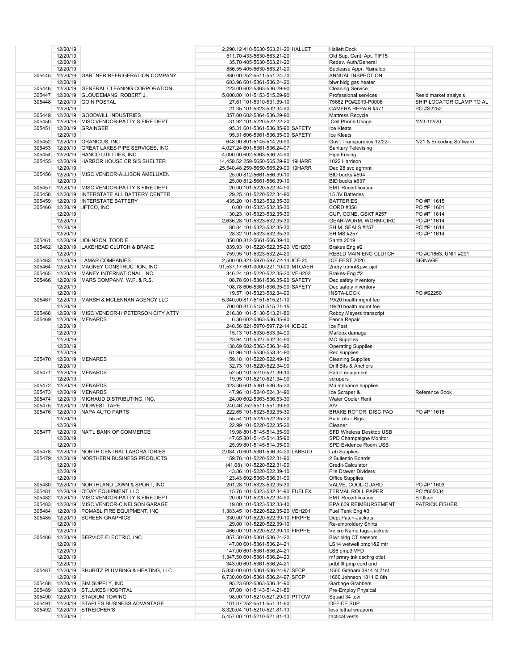|        | 12/20/19             |                                                 | 2,290.12 410-5630-563.21-20 HALLET                                 | <b>Hallett Dock</b>                                |                          |
|--------|----------------------|-------------------------------------------------|--------------------------------------------------------------------|----------------------------------------------------|--------------------------|
|        | 12/20/19             |                                                 | 511.70 433-5630-563.21-20                                          | Old Sup. Cent. Apt. TIF15                          |                          |
|        | 12/20/19             |                                                 | 35.70 405-5630-563.21-20                                           | Redev. Auth/General                                |                          |
| 305445 | 12/20/19             | 12/20/19 GARTNER REFRIGERATION COMPANY          | 886.55 405-5630-563.21-20                                          | Sublease Appr. Rainaldo<br>ANNUAL INSPECTION       |                          |
|        | 12/20/19             |                                                 | 880.00 252-5511-551.24-70<br>603.96 601-5361-536.24-20             | blwr bldg gas heater                               |                          |
|        |                      | 305446 12/20/19 GENERAL CLEANING CORPORATION    | 223.00 602-5363-536.29-90                                          | <b>Cleaning Service</b>                            |                          |
| 305447 | 12/20/19             | <b>GLOUDEMANS, ROBERT J.</b>                    | 5,000.00 101-5153-515.29-90                                        | Professional services                              | Resid market analysis    |
|        | 305448 12/20/19      | <b>GOIN POSTAL</b>                              | 27.61 101-5310-531.39-10                                           | 75662 PO#2019-P0006                                | SHIP LOCATOR CLAMP TO AL |
|        | 12/20/19             |                                                 | 21.35 101-5323-532.34-90                                           | CAMERA REPAIR #471                                 | PO #S2252                |
|        |                      | 305449 12/20/19 GOODWILL INDUSTRIES             | 357.00 602-5364-536.29-90                                          | Mattress Recycle                                   |                          |
| 305450 |                      | 12/20/19 MISC.VENDOR-PATTY S.FIRE DEPT          | 31.92 101-5220-522.22-20                                           | Cell Phone Usage                                   | 12/3-1/2/20              |
|        | 12/20/19             | 305451 12/20/19 GRAINGER                        | 95.31 601-5361-536.35-90 SAFETY<br>95.31 606-5361-536.35-90 SAFETY | Ice Kleats<br>Ice Kleats                           |                          |
|        |                      | 305452 12/20/19 GRANICUS, INC                   | 648.90 801-5145-514.29-90                                          | Gov't Transparency 12/22-                          | 1/21 & Encoding Software |
|        |                      | 305453 12/20/19 GREAT LAKES PIPE SERVICES, INC. | 4,027.24 601-5361-536.24-97                                        | <b>Sanitary Televising</b>                         |                          |
|        |                      | 305454 12/20/19 HANCO UTILITIES, INC            | 4,000.00 602-5363-536.24-90                                        | Pipe Fusing                                        |                          |
|        | 305455 12/20/19      | <b>HARBOR HOUSE CRISIS SHELTER</b>              | 14.459.52 259-5650-565.29-90 19HARR                                | 1022 Harrison                                      |                          |
|        | 12/20/19             |                                                 | 25,540.48 259-5650-565.29-90 19HARR                                | Dec 28 svc agrmnt                                  |                          |
|        |                      | 305456 12/20/19 MISC.VENDOR-ALLISON AMELUXEN    | 25.00 812-5661-566.39-10                                           | BID bucks #594                                     |                          |
|        | 12/20/19             | 305457 12/20/19 MISC.VENDOR-PATTY S.FIRE DEPT   | 25.00 812-5661-566.39-10<br>20.00 101-5220-522.34-90               | BID bucks #637<br><b>EMT Recertification</b>       |                          |
|        |                      | 305458 12/20/19 INTERSTATE ALL BATTERY CENTER   | 29.25 101-5220-522.34-90                                           | 15 3V Batteries                                    |                          |
|        |                      | 305459 12/20/19 INTERSTATE BATTERY              | 435.20 101-5323-532.35-30                                          | <b>BATTERIES</b>                                   | PO #P11615               |
|        |                      | 305460 12/20/19 JFTCO, INC                      | 0.00 101-5323-532.35-30                                            | CORD #356                                          | PO #P11601               |
|        | 12/20/19             |                                                 | 130.23 101-5323-532.35-30                                          | CUP, CONE, GSKT #257                               | PO #P11614               |
|        | 12/20/19             |                                                 | 2,636.28 101-5323-532.35-30                                        | GEAR-WORM, WORM-CIRC                               | PO #P11614               |
|        | 12/20/19<br>12/20/19 |                                                 | 80.84 101-5323-532.35-30                                           | SHIM, SEALS #257                                   | PO #P11614               |
| 305461 |                      | 12/20/19 JOHNSON, TODD E                        | 28.32 101-5323-532.35-30<br>350.00 812-5661-566.39-10              | <b>SHIMS #257</b><br>Santa 2019                    | PO #P11614               |
|        | 305462 12/20/19      | LAKEHEAD CLUTCH & BRAKE                         | 839.93 101-5220-522.35-20 VEH203                                   | Brakes Eng #2                                      |                          |
|        | 12/20/19             |                                                 | 759.95 101-5323-532.24-20                                          | REBLD MAIN ENG CLUTCH                              | PO #C1663, UNIT #291     |
|        |                      | 305463 12/20/19 LAMAR COMPANIES                 | 2,500.00 821-5970-597.72-14 ICE-20                                 | ICE FEST 2020                                      | SIGNAGE                  |
|        |                      | 305464 12/20/19 MAGNEY CONSTRUCTION, INC        | 91,537.17 601-0000-221.10-00 MTOAER                                | 2ndry trtmnt&pwr pjct                              |                          |
|        |                      | 305465 12/20/19 MANEY INTERNATIONAL, INC.       | 346.24 101-5220-522.35-20 VEH203                                   | Brakes-Eng #2                                      |                          |
|        |                      | 305466 12/20/19 MARS COMPANY, W.P. & R.S.       | 108.78 601-5361-536.35-90 SAFETY                                   | Dec safety inventory                               |                          |
|        | 12/20/19<br>12/20/19 |                                                 | 108.78 606-5361-536.35-90 SAFETY<br>19.57 101-5323-532.34-90       | Dec safety inventory<br><b>INSTA-LOCK</b>          | PO #S2250                |
|        |                      | 305467 12/20/19 MARSH & MCLENNAN AGENCY LLC     | 5,340.00 817-5151-515.21-10                                        | 19/20 health mgmt fee                              |                          |
|        | 12/20/19             |                                                 | 700.00 817-5151-515.21-15                                          | 19/20 health mgmt fee                              |                          |
| 305468 |                      | 12/20/19 MISC.VENDOR-H PETERSON CITY ATTY       | 216.30 101-5130-513.21-80                                          | Robby Meyers transcript                            |                          |
| 305469 |                      | 12/20/19 MENARDS                                | 6.36 602-5363-536.35-90                                            | Fence Repair                                       |                          |
|        | 12/20/19             |                                                 | 240.56 821-5970-597.72-14 ICE-20                                   | Ice Fest                                           |                          |
|        | 12/20/19<br>12/20/19 |                                                 | 15.13 101-5330-533.34-90<br>23.94 101-5327-532.34-90               | Mailbox damage<br><b>MC Supplies</b>               |                          |
|        | 12/20/19             |                                                 | 138.69 602-5363-536.34-90                                          | <b>Operating Supplies</b>                          |                          |
|        | 12/20/19             |                                                 | 61.96 101-5530-553.34-90                                           | Rec supplies                                       |                          |
| 305470 | 12/20/19             | <b>MENARDS</b>                                  | 159.18 101-5220-522.49-10                                          | <b>Cleaning Supplies</b>                           |                          |
|        | 12/20/19             |                                                 | 32.73 101-5220-522.34-90                                           | Drill Bits & Anchors                               |                          |
| 305471 |                      | 12/20/19 MENARDS                                | 52.50 101-5210-521.39-10                                           | Patrol equipment                                   |                          |
|        | 12/20/19             | 305472 12/20/19 MENARDS                         | 19.95 101-5210-521.34-90<br>423.36 601-5361-536.35-30              | scrapers<br>Maintenance supplies                   |                          |
|        |                      | 305473 12/20/19 MENARDS                         | 47.96 101-5240-524.34-90                                           | Ice Scraper &                                      | Reference Book           |
|        |                      | 305474 12/20/19 MICHAUD DISTRIBUTING, INC.      | 24.00 602-5363-536.53-30                                           | Water Cooler Rent                                  |                          |
|        |                      | 305475 12/20/19 MIDWEST TAPE                    | 240.46 252-5511-551.39-50                                          | AN                                                 |                          |
|        |                      | 305476 12/20/19 NAPA AUTO PARTS                 | 222.65 101-5323-532.35-30                                          | BRAKE ROTOR, DISC PAD                              | PO #P11616               |
|        | 12/20/19             |                                                 | 55.54 101-5220-522.35-20                                           | Bulb, etc - Rias                                   |                          |
|        | 12/20/19             |                                                 | 22.99 101-5220-522.35-20                                           | Cleaner                                            |                          |
|        | 12/20/19             | 305477 12/20/19 NAT'L BANK OF COMMERCE          | 19.98 801-5145-514.35-90<br>147.65 801-5145-514.35-90              | SFD Wireless Desktop USB<br>SPD Champaigne Monitor |                          |
|        | 12/20/19             |                                                 | 25.99 801-5145-514.35-90                                           | SPD Evidence Room USB                              |                          |
| 305478 |                      | 12/20/19 NORTH CENTRAL LABORATORIES             | 2,084.70 601-5361-536.34-20 LABBUD                                 | Lab Supplies                                       |                          |
|        |                      | 305479 12/20/19 NORTHERN BUSINESS PRODUCTS      | 159.78 101-5220-522.31-90                                          | 2 Bullentin Boards                                 |                          |
|        | 12/20/19             |                                                 | (41.08) 101-5220-522.31-90                                         | Credit-Calculator                                  |                          |
|        | 12/20/19             |                                                 | 43.86 101-5220-522.39-10                                           | File Drawer Dividers<br><b>Office Supplies</b>     |                          |
|        | 12/20/19             | 305480 12/20/19 NORTHLAND LAWN & SPORT, INC     | 123.43 602-5363-536.31-90<br>201.28 101-5323-532.35-30             | VALVE, COOL-GUARD                                  | PO #P11603               |
|        |                      | 305481 12/20/19 O'DAY EQUIPMENT LLC             | 15.76 101-5323-532.34-90 FUELEX                                    | <b>TERMAL ROLL PAPER</b>                           | PO #805034               |
|        |                      | 305482 12/20/19 MISC.VENDOR-PATTY S.FIRE DEPT   | 20.00 101-5220-522.34-90                                           | <b>EMT Recertification</b>                         | S Olson                  |
|        |                      | 305483 12/20/19 MISC.VENDOR-C NELSON GARAGE     | 19.00 101-5323-532.33-40                                           | EPA 609 REIMBURSEMENT                              | <b>PATRICK FISHER</b>    |
|        |                      | 305484 12/20/19 POMASL FIRE EQUIPMENT, INC      | 1,383.45 101-5220-522.35-20 VEH201                                 | Fuel Tank Eng #3                                   |                          |
|        |                      | 305485 12/20/19 SCREEN GRAPHICS                 | 330.00 101-5220-522.39-10 FIRPPE                                   | Dept Patch-Jackets                                 |                          |
|        | 12/20/19<br>12/20/19 |                                                 | 29.00 101-5220-522.39-10<br>466.00 101-5220-522.39-10 FIRPPE       | Re-embroidery Shirts<br>Velcro Name tags-Jackets   |                          |
| 305486 |                      | 12/20/19 SERVICE ELECTRIC, INC.                 | 857.50 601-5361-536.24-20                                          | Blwr bldg CT sensors                               |                          |
|        | 12/20/19             |                                                 | 147.00 601-5361-536.24-21                                          | LS14 wetwell pmp1&2 mtr                            |                          |
|        | 12/20/19             |                                                 | 147.00 601-5361-536.24-21                                          | LS6 pmp3 VFD                                       |                          |
|        | 12/20/19             |                                                 | 1,347.50 601-5361-536.24-20                                        | mf prmry tnk dschrg otlet                          |                          |
|        | 12/20/19             |                                                 | 343.00 601-5361-536.24-21                                          | prtbl flt pmp cord end                             |                          |
| 305487 |                      | 12/20/19 SHUBITZ PLUMBING & HEATING, LLC        | 5,830.00 601-5361-536.24-97 SFCP                                   | 1560 Graham 3914 N 21st                            |                          |
|        | 12/20/19             | 305488 12/20/19 SIM SUPPLY, INC                 | 6,730.00 601-5361-536.24-97 SFCP<br>95.23 602-5363-536.34-90       | 1660 Johnson 1811 E 8th<br>Garbage Grabbers        |                          |
|        |                      | 305489 12/20/19 ST.LUKES HOSPITAL               | 87.00 101-5143-514.21-80                                           | Pre-Employ Physical                                |                          |
|        |                      | 305490 12/20/19 STADIUM TOWING                  | 98.00 101-5210-521.29-90 PTTOW                                     | Squad 34 tow                                       |                          |
|        |                      | 305491 12/20/19 STAPLES BUSINESS ADVANTAGE      | 101.07 252-5511-551.31-90                                          | OFFICE SUP                                         |                          |
|        |                      | 305492 12/20/19 STREICHER'S                     | 8,320.04 101-5210-521.81-10                                        | less lethal weapons                                |                          |
|        | 12/20/19             |                                                 | 5,457.00 101-5210-521.81-10                                        | tactical vests                                     |                          |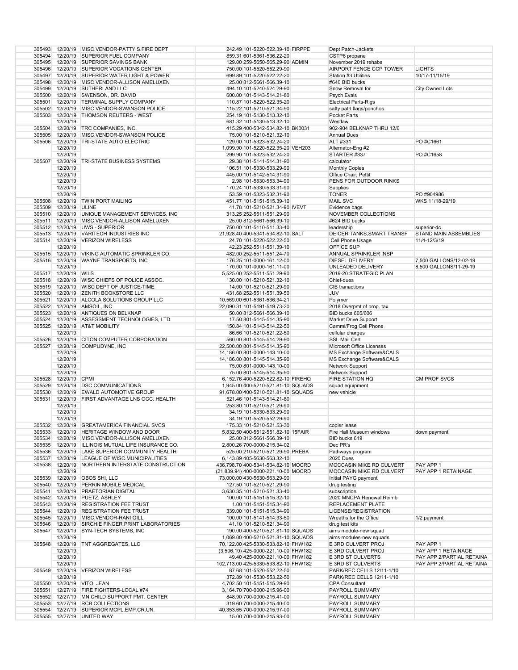|        |                       | 305493 12/20/19 MISC.VENDOR-PATTY S.FIRE DEPT                          | 242.49 101-5220-522.39-10 FIRPPE                         | Dept Patch-Jackets           |                           |
|--------|-----------------------|------------------------------------------------------------------------|----------------------------------------------------------|------------------------------|---------------------------|
|        |                       |                                                                        |                                                          |                              |                           |
|        |                       | 305494 12/20/19 SUPERIOR FUEL COMPANY                                  | 859.31 601-5361-536.22-20                                | CSTP6 propane                |                           |
|        |                       | 305495 12/20/19 SUPERIOR SAVINGS BANK                                  | 129.00 259-5650-565.29-90 ADMIN                          | November 2019 rehabs         |                           |
|        |                       | 305496 12/20/19 SUPERIOR VOCATIONS CENTER                              | 750.00 101-5520-552.29-90                                | AIRPORT FENCE CCP TOWER      | <b>LIGHTS</b>             |
|        |                       |                                                                        |                                                          |                              |                           |
|        |                       | 305497 12/20/19 SUPERIOR WATER LIGHT & POWER                           | 699.89 101-5220-522.22-20                                | Station #3 Utilities         | 10/17-11/15/19            |
|        |                       | 305498 12/20/19 MISC.VENDOR-ALLISON AMELUXEN                           | 25.00 812-5661-566.39-10                                 | #640 BID bucks               |                           |
|        |                       | 305499 12/20/19 SUTHERLAND LLC                                         | 494.10 101-5240-524.29-90                                | Snow Removal for             | City Owned Lots           |
|        |                       | 305500 12/20/19 SWENSON, DR. DAVID                                     |                                                          | <b>Psych Evals</b>           |                           |
|        |                       |                                                                        | 600.00 101-5143-514.21-80                                |                              |                           |
|        |                       | 305501 12/20/19 TERMINAL SUPPLY COMPANY                                | 110.87 101-5220-522.35-20                                | <b>Electrical Parts-Rigs</b> |                           |
|        |                       | 305502 12/20/19 MISC.VENDOR-SWANSON POLICE                             | 115.22 101-5210-521.34-90                                | safty patrl flags/ponchos    |                           |
| 305503 |                       | 12/20/19 THOMSON REUTERS - WEST                                        | 254.19 101-5130-513.32-10                                | Pocket Parts                 |                           |
|        |                       |                                                                        |                                                          |                              |                           |
|        | 12/20/19              |                                                                        | 681.32 101-5130-513.32-10                                | Westlaw                      |                           |
|        |                       | 305504 12/20/19 TRC COMPANIES, INC.                                    | 415.29 400-5342-534.82-10 BK0031                         | 902-904 BELKNAP THRU 12/6    |                           |
| 305505 |                       | 12/20/19 MISC.VENDOR-SWANSON POLICE                                    | 75.00 101-5210-521.32-10                                 | <b>Annual Dues</b>           |                           |
|        |                       |                                                                        |                                                          |                              |                           |
| 305506 | 12/20/19              | <b>TRI-STATE AUTO ELECTRIC</b>                                         | 129.00 101-5323-532.24-20                                | ALT #331                     | PO #C1661                 |
|        | 12/20/19              |                                                                        | 1,099.90 101-5220-522.35-20 VEH203                       | Alternator-Eng #2            |                           |
|        | 12/20/19              |                                                                        | 299.90 101-5323-532.24-20                                | STARTER #337                 | PO #C1658                 |
|        |                       |                                                                        |                                                          |                              |                           |
| 305507 | 12/20/19              | TRI-STATE BUSINESS SYSTEMS                                             | 29.38 101-5141-514.31-90                                 | calculator                   |                           |
|        | 12/20/19              |                                                                        | 106.51 101-5330-533.29-90                                | <b>Monthly Copies</b>        |                           |
|        | 12/20/19              |                                                                        | 445.00 101-5142-514.31-90                                | Office Chair, Pettit         |                           |
|        | 12/20/19              |                                                                        |                                                          | PENS FOR OUTDOOR RINKS       |                           |
|        |                       |                                                                        | 2.98 101-5530-553.34-90                                  |                              |                           |
|        | 12/20/19              |                                                                        | 170.24 101-5330-533.31-90                                | Supplies                     |                           |
|        | 12/20/19              |                                                                        | 53.59 101-5323-532.31-90                                 | <b>TONER</b>                 | PO #904986                |
|        |                       | 305508 12/20/19 TWIN PORT MAILING                                      | 451.77 101-5151-515.39-10                                | <b>MAIL SVC</b>              | WKS 11/18-29/19           |
|        |                       |                                                                        |                                                          |                              |                           |
|        | 305509 12/20/19 ULINE |                                                                        | 41.78 101-5210-521.34-90 IVEVT                           | Evidence bags                |                           |
|        |                       | 305510 12/20/19 UNIQUE MANAGEMENT SERVICES, INC                        | 313.25 252-5511-551.29-90                                | NOVEMBER COLLECTIONS         |                           |
|        |                       | 305511 12/20/19 MISC.VENDOR-ALLISON AMELUXEN                           | 25.00 812-5661-566.39-10                                 | #624 BID bucks               |                           |
|        |                       |                                                                        |                                                          |                              |                           |
|        |                       | 305512 12/20/19 UWS - SUPERIOR                                         | 750.00 101-5110-511.33-40                                | leadership                   | superior-dc               |
|        |                       | 305513 12/20/19 VARITECH INDUSTRIES INC                                | 21,928.40 400-5341-534.82-10 SALT                        | DEICER TANKS, SMART TRANSF   | STAND MAIN ASSEMBLIES     |
|        |                       | 305514 12/20/19 VERIZON WIRELESS                                       | 24.70 101-5220-522.22-50                                 | Cell Phone Usage             | 11/4-12/3/19              |
|        |                       |                                                                        |                                                          |                              |                           |
|        | 12/20/19              |                                                                        | 42.23 252-5511-551.39-10                                 | <b>OFFICE SUP</b>            |                           |
|        |                       | 305515 12/20/19 VIKING AUTOMATIC SPRINKLER CO.                         | 482.00 252-5511-551.24-70                                | ANNUAL SPRINKLER INSP        |                           |
|        |                       | 305516 12/20/19 WAYNE TRANSPORTS, INC                                  | 176.25 101-0000-161.12-00                                | <b>DIESEL DELIVERY</b>       | 7,500 GALLONS/12-02-19    |
|        |                       |                                                                        |                                                          |                              |                           |
|        | 12/20/19              |                                                                        | 170.00 101-0000-161.11-00                                | UNLEADED DELIVERY            | 8,500 GALLONS/11-29-19    |
|        | 305517 12/20/19 WILS  |                                                                        | 5,525.00 252-5511-551.29-90                              | 2019-20 STRATEGIC PLAN       |                           |
|        |                       | 305518 12/20/19 WISC CHIEFS OF POLICE ASSOC.                           | 130.00 101-5210-521.32-10                                | Chief-dues                   |                           |
|        |                       |                                                                        |                                                          |                              |                           |
|        |                       | 305519 12/20/19 WISC DEPT OF JUSTICE-TIME                              | 14.00 101-5210-521.29-90                                 | CIB tranactions              |                           |
|        |                       | 305520 12/20/19 ZENITH BOOKSTORE LLC                                   | 431.68 252-5511-551.39-50                                | <b>JUV</b>                   |                           |
|        |                       | 305521 12/20/19 ALCOLA SOLUTIONS GROUP LLC                             | 10,569.00 601-5361-536.34-21                             | Polymer                      |                           |
|        |                       | 305522 12/20/19 AMSOIL, INC                                            |                                                          | 2018 Overpmt of prop. tax    |                           |
|        |                       |                                                                        | 22,090.31 101-5191-519.73-20                             |                              |                           |
|        |                       | 305523 12/20/19 ANTIQUES ON BELKNAP                                    | 50.00 812-5661-566.39-10                                 | <b>BID bucks 605/606</b>     |                           |
|        |                       | 305524 12/20/19 ASSESSMENT TECHNOLOGIES, LTD.                          | 17.50 801-5145-514.35-90                                 | Market Drive Support         |                           |
|        |                       | 305525 12/20/19 AT&T MOBILITY                                          | 150.84 101-5143-514.22-50                                | Cammi/Frog Cell Phone        |                           |
|        | 12/20/19              |                                                                        |                                                          |                              |                           |
|        |                       |                                                                        | 86.66 101-5210-521.22-50                                 | cellular charges             |                           |
| 305526 |                       | 12/20/19 CITON COMPUTER CORPORATION                                    | 560.00 801-5145-514.29-90                                | <b>SSL Mail Cert</b>         |                           |
| 305527 |                       | 12/20/19 COMPUDYNE, INC                                                | 22,500.00 801-5145-514.35-90                             | Microsoft Office Licenses    |                           |
|        | 12/20/19              |                                                                        | 14,186.00 801-0000-143.10-00                             | MS Exchange Software&CALS    |                           |
|        |                       |                                                                        |                                                          |                              |                           |
|        | 12/20/19              |                                                                        | 14,186.00 801-5145-514.35-90                             | MS Exchange Software&CALS    |                           |
|        | 12/20/19              |                                                                        | 75.00 801-0000-143.10-00                                 | Network Support              |                           |
|        | 12/20/19              |                                                                        | 75.00 801-5145-514.35-90                                 | Network Support              |                           |
|        | 305528 12/20/19 CPMI  |                                                                        | 6,152.76 400-5220-522.82-10 FIREHQ                       | <b>FIRE STATION HQ</b>       | <b>CM PROF SVCS</b>       |
|        |                       |                                                                        |                                                          |                              |                           |
|        |                       | 305529 12/20/19 DSC COMMUNICATIONS                                     | 1,945.00 400-5210-521.81-10 SQUADS                       | squad equipment              |                           |
|        |                       | 305530 12/20/19 EWALD AUTOMOTIVE GROUP                                 | 91,678.00 400-5210-521.81-10 SQUADS                      | new vehicle                  |                           |
| 305531 | 12/20/19              | FIRST ADVANTAGE LNS OCC. HEALTH                                        | 521.46 101-5143-514.21-80                                |                              |                           |
|        |                       |                                                                        |                                                          |                              |                           |
|        | 12/20/19              |                                                                        | 253.80 101-5210-521.29-90                                |                              |                           |
|        | 12/20/19              |                                                                        | 34.19 101-5330-533.29-90                                 |                              |                           |
|        | 12/20/19              |                                                                        | 34.19 101-5520-552.29-90                                 |                              |                           |
|        |                       |                                                                        |                                                          |                              |                           |
|        |                       | 305532 12/20/19 GREATAMERICA FINANCIAL SVCS                            | 175.33 101-5210-521.53-30                                | copier lease                 |                           |
|        |                       | 305533 12/20/19 HERITAGE WINDOW AND DOOR                               | 5,832.50 400-5512-551.82-10 15FAIR                       | Fire Hall Museum windows     | down payment              |
|        |                       | 305534 12/20/19 MISC.VENDOR-ALLISON AMELUXEN                           | 25.00 812-5661-566.39-10                                 | BID bucks 619                |                           |
|        |                       | 305535 12/20/19 ILLINOIS MUTUAL LIFE INSURANCE CO.                     | 2,800.26 700-0000-215.34-02                              | Dec PR's                     |                           |
|        |                       |                                                                        |                                                          |                              |                           |
|        |                       | 305536 12/20/19 LAKE SUPERIOR COMMUNITY HEALTH                         | 525.00 210-5210-521.29-90 PREBK                          | Pathways program             |                           |
|        |                       | 305537 12/20/19 LEAGUE OF WISC.MUNICIPALITIES                          | 6,143.89 405-5630-563.32-10                              | <b>2020 Dues</b>             |                           |
|        |                       | 305538 12/20/19 NORTHERN INTERSTATE CONSTRUCTION                       | 436,798.70 400-5341-534.82-10 MOCRD                      | MOCCASIN MIKE RD CULVERT     | PAY APP 1                 |
|        | 12/20/19              |                                                                        |                                                          |                              | PAY APP 1 RETAINAGE       |
|        |                       |                                                                        | (21,839.94) 400-0000-221.10-00 MOCRD                     | MOCCASIN MIKE RD CULVERT     |                           |
|        |                       | 305539 12/20/19 OBOS SHI, LLC                                          | 73,000.00 430-5630-563.29-90                             | Initial PAYG payment         |                           |
|        |                       | 305540 12/20/19 PERRIN MOBILE MEDICAL                                  | 127.50 101-5210-521.29-90                                | drug testing                 |                           |
|        |                       | 305541 12/20/19 PRAETORIAN DIGITAL                                     |                                                          |                              |                           |
|        |                       |                                                                        | 3,630.35 101-5210-521.33-40                              | subscription                 |                           |
|        |                       | 305542 12/20/19 PUETZ, ASHLEY                                          | 100.00 101-5151-515.32-10                                | 2020 MNCPA Renewal Reimb     |                           |
|        |                       | 305543 12/20/19 REGISTRATION FEE TRUST                                 | 1.00 101-5151-515.34-90                                  | REPLACEMENT PLATE            |                           |
|        |                       | 305544 12/20/19 REGISTRATION FEE TRUST                                 | 339.00 101-5151-515.34-90                                | LICENSE/REGISTRATION         |                           |
|        |                       |                                                                        |                                                          |                              |                           |
|        |                       | 305545 12/20/19 MISC.VENDOR-RANI GILL                                  | 100.00 101-5141-514.33-50                                | Wreaths for the Office       | 1/2 payment               |
|        |                       | 305546 12/20/19 SIRCHIE FINGER PRINT LABORATORIES                      | 41.10 101-5210-521.34-90                                 | drug test kits               |                           |
|        |                       | 305547 12/20/19 SYN-TECH SYSTEMS, INC                                  | 190.00 400-5210-521.81-10 SQUADS                         | aims module-new squad        |                           |
|        |                       |                                                                        |                                                          |                              |                           |
|        | 12/20/19              |                                                                        | 1,069.00 400-5210-521.81-10 SQUADS                       | aims modules-new squads      |                           |
| 305548 |                       | 12/20/19 TNT AGGREGATES, LLC                                           | 70,122.00 425-5330-533.82-10 FHW182                      | E 3RD CULVERT PROJ           | PAY APP 1                 |
|        | 12/20/19              |                                                                        | (3,506.10) 425-0000-221.10-00 FHW182                     | E 3RD CULVERT PROJ           | PAY APP 1 RETAINAGE       |
|        | 12/20/19              |                                                                        | 49.40 425-0000-221.10-00 FHW182                          | E 3RD ST CULVERTS            | PAY APP 2/PARTIAL RETAINA |
|        |                       |                                                                        |                                                          |                              |                           |
|        | 12/20/19              |                                                                        | 102,713.00 425-5330-533.82-10 FHW182                     | E 3RD ST CULVERTS            | PAY APP 2/PARTIAL RETAINA |
| 305549 |                       | 12/20/19 VERIZON WIRELESS                                              | 87.68 101-5520-552.22-50                                 | PARK/REC CELLS 12/11-1/10    |                           |
|        | 12/20/19              |                                                                        | 372.89 101-5530-553.22-50                                | PARK/REC CELLS 12/11-1/10    |                           |
|        |                       |                                                                        |                                                          |                              |                           |
|        |                       | 305550 12/20/19 VITO, JEAN                                             | 4,702.50 101-5151-515.29-90                              | <b>CPA Consultant</b>        |                           |
|        |                       |                                                                        |                                                          | PAYROLL SUMMARY              |                           |
|        |                       | 305551 12/27/19 FIRE FIGHTERS-LOCAL #74                                | 3,164.70 700-0000-215.96-00                              |                              |                           |
|        |                       |                                                                        |                                                          |                              |                           |
|        |                       | 305552 12/27/19 MN CHILD SUPPORT PMT. CENTER                           | 848.90 700-0000-215.41-00                                | PAYROLL SUMMARY              |                           |
|        |                       | 305553 12/27/19 RCB COLLECTIONS                                        | 319.60 700-0000-215.40-00                                | PAYROLL SUMMARY              |                           |
|        |                       | 305554 12/27/19 SUPERIOR MCPL.EMP.CR.UN.<br>305555 12/27/19 UNITED WAY | 40,353.65 700-0000-215.97-00<br>15.00 700-0000-215.93-00 | PAYROLL SUMMARY              |                           |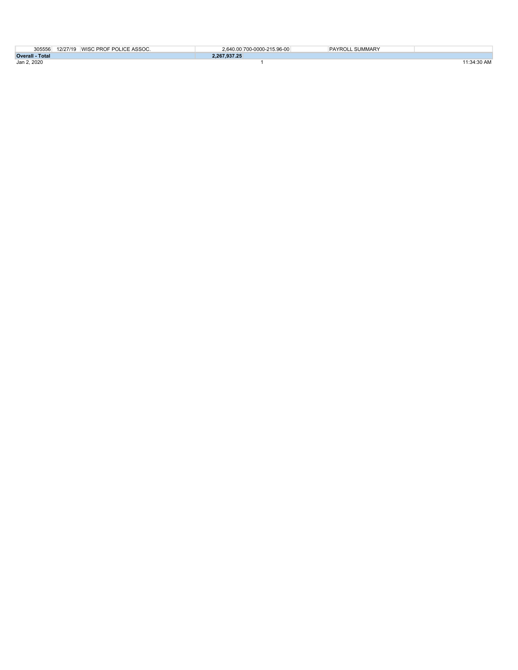|                        | 305556 12/27/19 WISC PROF POLICE ASSOC. | 2.640.00 700-0000-215.96-00 | PAYROLL SUMMARY |             |
|------------------------|-----------------------------------------|-----------------------------|-----------------|-------------|
| <b>Overall - Total</b> |                                         | 2.267.937.25                |                 |             |
| Jan 2, 2020            |                                         |                             |                 | 11:34:30 AM |
|                        |                                         |                             |                 |             |